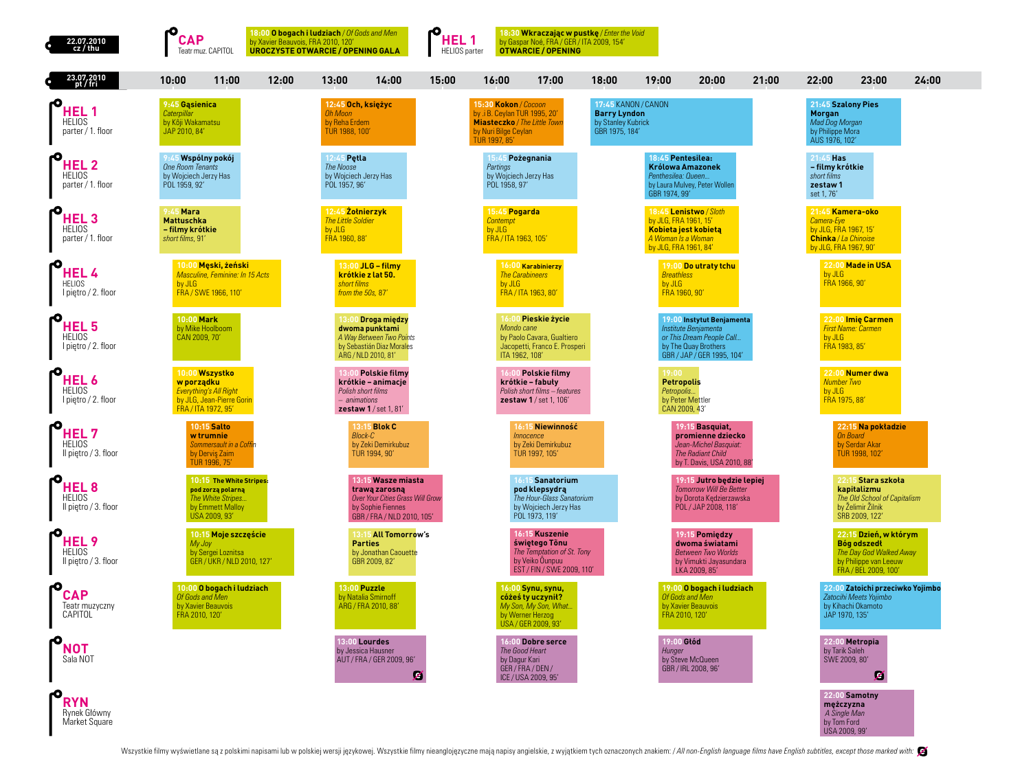| 22.07.2010<br>cz / thu                                    | <b>CAP</b><br>Teatr muz. CAPITOL                                                                           | 18:00 <b>O bogach i ludziach</b> / <i>Of Gods and Men</i><br>by Xavier Beauvois, FRA 2010, 120'<br>UROCZYSTE OTWARCIE / OPENING GALA | 18:30 Wkraczając w pustkę / Enter the Void<br>HEL <sub>1</sub><br>by Gaspar Noé, FRA / GER / ITA 2009, 154'<br><b>HELIOS</b> parter<br><b>OTWARCIE / OPENING</b> |                                                                                                                                      |                                                                                                                  |
|-----------------------------------------------------------|------------------------------------------------------------------------------------------------------------|--------------------------------------------------------------------------------------------------------------------------------------|------------------------------------------------------------------------------------------------------------------------------------------------------------------|--------------------------------------------------------------------------------------------------------------------------------------|------------------------------------------------------------------------------------------------------------------|
| 23.07.2010<br>pt / fri                                    | 10:00<br>11:00<br>12:00                                                                                    | 13:00<br>14:00<br>15:00                                                                                                              | 16:00<br>17:00                                                                                                                                                   | 18:00<br>19:00<br>20:00                                                                                                              | 21:00<br>22:00<br>23:00<br>24:00                                                                                 |
| HEL 1<br><b>HELIOS</b><br>parter / 1. floor               | 9:45 Gasienica<br>Caterpillar<br>by Kôii Wakamatsu<br>JAP 2010, 84'                                        | 12:45 Och, księżyc<br><b>Oh Moon</b><br>by Reha Erdem<br>TUR 1988, 100'                                                              | 15:30 Kokon / Cocoon<br>by .i B. Ceylan TUR 1995, 20'<br><b>Miasteczko</b> / The Little Town<br>by Nuri Bilge Ceylan<br>TUR 1997, 85'                            | 17:45 KANON / CANON<br><b>Barry Lyndon</b><br>by Stanley Kubrick<br>GBR 1975, 184'                                                   | 21:45 Szalony Pies<br>Morgan<br>Mad Dog Morgan<br>by Philippe Mora<br>AUS 1976, 102'                             |
| ю<br><b>HEL2</b><br><b>HELIOS</b><br>parter / 1. floor    | Wspólny pokój<br><b>One Room Tenants</b><br>by Wojciech Jerzy Has<br>POI 1959 92'                          | 12:45 Petla<br>The Noose<br>by Wojciech Jerzy Has<br>POL 1957, 96'                                                                   | 15:45 Pożegnania<br>Partings<br>by Wojciech Jerzy Has<br>POL 1958, 97'                                                                                           | 18:45 Pentesilea:<br>Królowa Amazonek<br>Penthesilea: Queen.<br>by Laura Mulvey, Peter Wollen<br>GBR 1974, 99'                       | 21:45 Has<br>- filmy krótkie<br>short films<br>zestaw1<br>set 1, 76'                                             |
| HEL <sub>3</sub><br><b>HELIOS</b><br>parter / 1. floor    | <b>Mara</b><br><b>Mattuschka</b><br>- filmy krótkie<br>short films, 91'                                    | 12:45 Zolnierzyk<br><b>The Little Soldier</b><br>by JLG<br>FRA 1960, 88'                                                             | 15:45 Pogarda<br>Contempt<br>by JLG<br>FRA / ITA 1963, 105'                                                                                                      | 18:45 Lenistwo / Sloth<br>by JLG, FRA 1961, 15'<br>Kobieta jest kobietą<br>A Woman Is a Woman<br>by JLG, FRA 1961, 84'               | 21:45 Kamera-oko<br>Camera-Eye<br>by JLG, FRA 1967, 15'<br>Chinka / La Chinoise<br>by JLG, FRA 1967, 90'         |
| HEL 4<br><b>HELIOS</b><br>I piętro / 2. floor             | 10:00 Męski, żeński<br>Masculine, Feminine: In 15 Acts<br>by JLG<br>FRA / SWE 1966, 110'                   | 13:00 JLG - filmy<br>krótkie z lat 50.<br>short films<br>from the 50s, 87                                                            | 16:00 Karabinierzy<br><b>The Carabineers</b><br>by JLG<br>FRA / ITA 1963, 80'                                                                                    | 19:00 Do utraty tchu<br><b>Breathless</b><br>by JLG<br>FRA 1960, 90'                                                                 | 22:00 Made in USA<br>by JLG<br>FRA 1966, 90'                                                                     |
| HEL <sub>5</sub><br><b>HELIOS</b><br>I piętro / 2. floor  | 10:00 Mark<br>by Mike Hoolboom<br>CAN 2009, 70'                                                            | 13:00 Droga między<br>dwoma punktami<br>A Way Between Two Points<br>by Sebastián Diaz Morales<br>ARG / NLD 2010, 81'                 | 16:00 Pieskie życie<br>Mondo cane<br>by Paolo Cavara, Gualtiero<br>Jacopetti, Franco E. Prosperi<br>ITA 1962, 108'                                               | 19:00 Instytut Benjamenta<br>Institute Benjamenta<br>or This Dream People Call<br>by The Quay Brothers<br>GBR / JAP / GER 1995, 104' | 22:00 Imię Carmen<br><b>First Name: Carmen</b><br>by JLG<br>FRA 1983, 85'                                        |
| HEL <sub>6</sub><br><b>HELIOS</b><br>I piętro / 2. floor  | 10:00 Wszystko<br>w porządku<br>Everything's All Right<br>by JLG, Jean-Pierre Gorin<br>FRA / ITA 1972, 95' | <b>3:00 Polskie filmy</b><br>krótkie - animacje<br>Polish short films<br>- animations<br><b>zestaw 1/set 1, 81'</b>                  | 16:00 Polskie filmy<br>krótkie – fabuły<br>Polish short films - features<br>zestaw 1 / set 1, 106'                                                               | 19:00<br><b>Petropolis</b><br>Petropolis<br>by Peter Mettler<br>CAN 2009, 43'                                                        | 22:00 Numer dwa<br><b>Number Two</b><br>by JLG<br>FRA 1975, 88'                                                  |
| HEL 7<br><b>HELIOS</b><br>Il pietro / 3. floor            | <b>10:15 Salto</b><br>w trumnie<br>Sommersault in a Coffin<br>by Dervis Zaim<br>TUR 1996, 75'              | 13:15 Blok C<br><b>Block-C</b><br>by Zeki Demirkubuz<br>TUR 1994, 90'                                                                | 16:15 Niewinność<br><b>Innocence</b><br>by Zeki Demirkubuz<br>TUR 1997, 105'                                                                                     | 19:15 Basquiat.<br>promienne dziecko<br>Jean-Michel Basquiat:<br><b>The Radiant Child</b><br>by T. Davis, USA 2010, 88'              | 22:15 Na pokładzie<br>On Board<br>by Serdar Akar<br>TUR 1998, 102'                                               |
| HEL <sub>8</sub><br><b>HELIOS</b><br>Il pietro / 3. floor | 10:15 The White Stripes:<br>pod zorzą polarną<br>The White Stripes<br>by Emmett Malloy<br>USA 2009, 93'    | 13:15 Wasze miasta<br>trawą zarosną<br>Over Your Cities Grass Will Grow<br>by Sophie Fiennes<br>GBR / FRA / NLD 2010, 105'           | 16:15 Sanatorium<br>pod klepsydrą<br>The Hour-Glass Sanatorium<br>by Wojciech Jerzy Has<br>POL 1973, 119'                                                        | 19:15 Jutro bedzie lepiej<br><b>Tomorrow Will Be Better</b><br>by Dorota Kedzierzawska<br>POL / JAP 2008, 118'                       | 22:15 Stara szkoła<br>kapitalizmu<br>The Old School of Capitalism<br>by Želimir Žilnik<br>SRB 2009, 122'         |
| HEL <sub>9</sub><br><b>HELIOS</b><br>Il piętro / 3. floor | 10:15 Moje szczęście<br>My Joy<br>by Sergei Loznitsa<br>GER / UKR / NLD 2010, 127'                         | 13:15 All Tomorrow's<br><b>Parties</b><br>by Jonathan Caouette<br>GBR 2009, 82'                                                      | 16:15 Kuszenie<br>świętego Tõnu<br>The Temptation of St. Tony<br>by Veiko Ounpuu<br>EST / FIN / SWE 2009, 110'                                                   | 19:15 Pomiedzy<br>dwoma światami<br><b>Between Two Worlds</b><br>by Vimukti Jayasundara<br>LKA 2009, 85'                             | 22:15 Dzień, w którym<br>Bóg odszedł<br>The Day God Walked Away<br>by Philippe van Leeuw<br>FRA / BEL 2009, 100' |
| <b>CAP</b><br>Teatr muzyczny<br>CAPITOL                   | 10:00 O bogach i ludziach<br>Of Gods and Men<br>by Xavier Beauvois<br>FRA 2010, 120'                       | 13:00 Puzzle<br>by Natalia Smirnoff<br>ARG / FRA 2010, 88'                                                                           | 16:00 Synu, synu,<br>cóżeś ty uczynił?<br>My Son, My Son, What.<br>by Werner Herzog<br>USA / GER 2009, 93'                                                       | 19:00 O bogach i ludziach<br>Of Gods and Men<br>by Xavier Beauvois<br>FRA 2010, 120'                                                 | 22:00 Zatoichi przeciwko Yojimbo<br>Zatocihi Meets Yojimbo<br>by Kihachi Okamoto<br>JAP 1970, 135'               |
| NOT<br>Sala NOT                                           |                                                                                                            | 13:00 Lourdes<br>by Jessica Hausner<br>AUT / FRA / GER 2009, 96'<br>z                                                                | 16:00 Dobre serce<br>The Good Heart<br>by Dagur Kari<br>GER / FRA / DEN /<br>ICE / USA 2009, 95'                                                                 | 19:00 Głód<br>Hunger<br>by Steve McQueen<br>GBR / IRL 2008, 96                                                                       | 22:00 Metropia<br>by Tarik Saleh<br>SWE 2009, 80<br>Z                                                            |
| <b>RYN</b><br>Rynek Główny<br>Market Square               |                                                                                                            |                                                                                                                                      |                                                                                                                                                                  |                                                                                                                                      | 22:00 Samotny<br>mężczyzna<br>A Single Man<br>by Tom Ford<br>USA 2009, 99'                                       |

 $\overline{\phantom{a}}$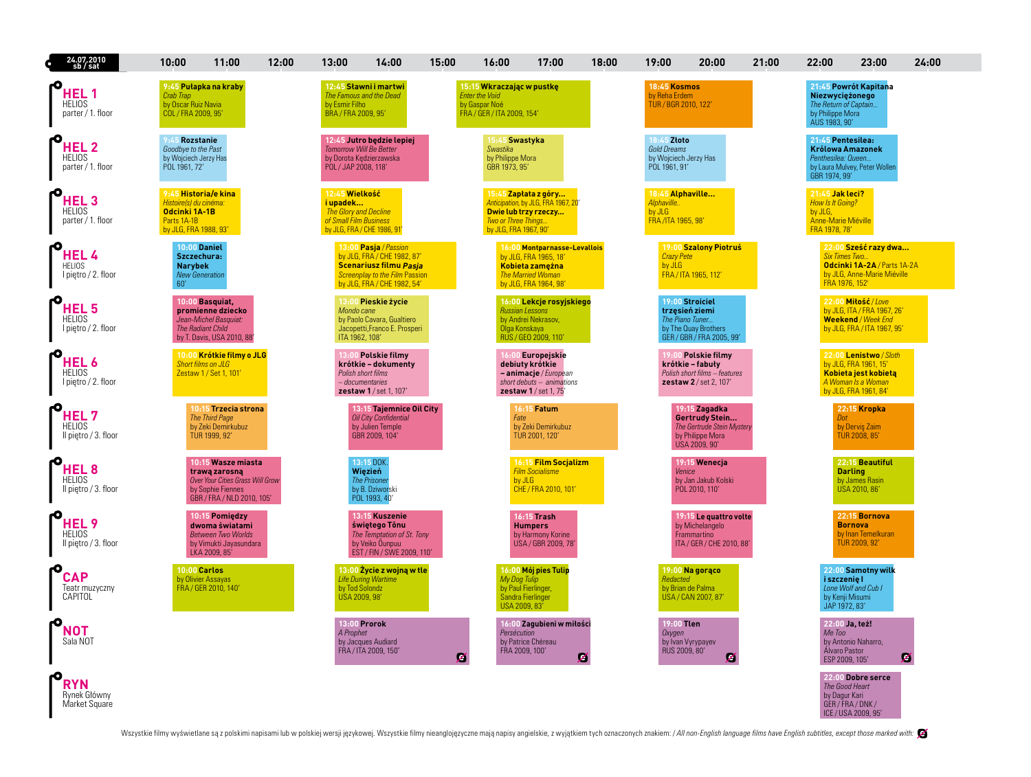| 24.07.2010<br>sb / sat                                    | 10:00<br>11:00                                                                                                          | 12:00                            | 13:00                                                                                                        | 14:00                                                                                                                                                         | 15:00 | 16:00                                                                                             | 17:00                                                                                                                         | 18:00 | 19:00                                                                | 20:00                                                                                              | 21:00 | 22:00                                                                                  | 23:00                                                                                                                  | 24:00 |
|-----------------------------------------------------------|-------------------------------------------------------------------------------------------------------------------------|----------------------------------|--------------------------------------------------------------------------------------------------------------|---------------------------------------------------------------------------------------------------------------------------------------------------------------|-------|---------------------------------------------------------------------------------------------------|-------------------------------------------------------------------------------------------------------------------------------|-------|----------------------------------------------------------------------|----------------------------------------------------------------------------------------------------|-------|----------------------------------------------------------------------------------------|------------------------------------------------------------------------------------------------------------------------|-------|
| HEL 1<br><b>HELIOS</b><br>parter / 1. floor               | 9:45 Pułapka na kraby<br>Crab Trap<br>by Oscar Ruiz Navia<br>COL / FRA 2009, 95'                                        |                                  | The Famous and the Dead<br>by Esmir Filho<br>BRA / FRA 2009, 95'                                             | 12:45 Sławni i martwi                                                                                                                                         |       | 15:15 Wkraczając w pustkę<br><b>Enter the Void</b><br>by Gaspar Noé<br>FRA / GER / ITA 2009, 154' |                                                                                                                               |       | 18:45 Kosmos<br>by Reha Erdem<br>TUR / BGR 2010, 122'                |                                                                                                    |       | Niezwyciężonego<br>The Return of Captain<br>by Philippe Mora<br>AUS 1983, 90'          | 21:45 Powrót Kapitana                                                                                                  |       |
| HEL <sub>2</sub><br><b>HELIOS</b><br>parter / 1. floor    | 9:45 Rozstanie<br>Goodbye to the Past<br>by Wojciech Jerzy Has<br>POL 1961, 72'                                         |                                  | <b>Tomorrow Will Be Better</b><br>by Dorota Kedzierzawska<br>POL/JAP 2008, 118'                              | 12:45 Jutro będzie lepiej                                                                                                                                     |       | 15:45 Swastyka<br>Swastika<br>by Philippe Mora<br>GBR 1973, 95'                                   |                                                                                                                               |       | 18:45 Złoto<br>Gold Dreams<br>by Wojciech Jerzy Has<br>POL 1961, 91' |                                                                                                    |       | 21:45 Pentesilea:<br>Królowa Amazonek<br>Penthesilea: Queen<br>GBR 1974 99'            | by Laura Mulvey, Peter Wollen                                                                                          |       |
| HEL <sub>3</sub><br><b>HELIOS</b><br>parter / 1. floor    | 9:45 Historia/e kina<br>Histoire(s) du cinéma:<br>Odcinki 1A-1B<br>Parts 1A-1B<br>by JLG, FRA 1988, 93'                 |                                  | 12:45 Wielkość<br>i upadek<br>The Glory and Decline<br>of Small Film Business<br>by JLG, FRA / CHE 1986, 91' |                                                                                                                                                               |       | <b>Two or Three Things</b><br>by JLG, FRA 1967, 90'                                               | 15:45 Zapłata z góry<br>Anticipation, by JLG, FRA 1967, 20<br>Dwie lub trzy rzeczy                                            |       | 18:45 Alphaville<br>Alphaville<br>by JLG<br>FRA/ITA 1965, 98         |                                                                                                    |       | 21:45 Jak leci?<br>How Is It Going?<br>by JLG,<br>Anne-Marie Miéville<br>FRA 1978, 78' |                                                                                                                        |       |
| HEL <sub>4</sub><br><b>HELIOS</b><br>I piętro / 2. floor  | <b>10:00 Daniel</b><br>Szczechura:<br><b>Narybek</b><br><b>New Generation</b><br>60'                                    |                                  |                                                                                                              | 13:00 Pasja / Passion<br>by JLG, FRA / CHE 1982, 87'<br><b>Scenariusz filmu Pasja</b><br><b>Screenplay to the Film Passion</b><br>by JLG, FRA / CHE 1982, 54' |       |                                                                                                   | 16:00 Montparnasse-Levallois<br>by JLG, FRA 1965, 18'<br>Kobieta zamężna<br><b>The Married Woman</b><br>by JLG, FRA 1964, 98' |       | <b>Crazy Pete</b><br>by JLG                                          | 19:00 Szalony Piotruś<br>FRA / ITA 1965, 112'                                                      |       | <b>Six Times Two</b><br>FRA 1976, 152'                                                 | 22:00 Sześć razy dwa<br>Odcinki 1A-2A / Parts 1A-2A<br>by JLG, Anne-Marie Miéville                                     |       |
| HEL <sub>5</sub><br><b>HELIOS</b><br>I pietro / 2. floor  | 10:00 Basquiat.<br>promienne dziecko<br>Jean-Michel Basquiat:<br><b>The Radiant Child</b><br>by T. Davis, USA 2010, 88' |                                  | Mondo cane<br>ITA 1962, 108'                                                                                 | 13:00 Pieskie życie<br>by Paolo Cavara, Gualtiero<br>Jacopetti, Franco E. Prosperi                                                                            |       | <b>Russian Lessons</b><br>Olga Konskaya                                                           | 16:00 Lekcje rosyjskiego<br>by Andrei Nekrasov,<br>RUS / GEO 2009, 110'                                                       |       | The Piano Tuner                                                      | 19:00 Stroiciel<br>trzęsień ziemi<br>by The Quay Brothers<br>GER / GBR / FRA 2005, 99'             |       |                                                                                        | 22:00 Mitość / Love<br>by JLG, ITA / FRA 1967, 26'<br><b>Weekend / Week End</b><br>by JLG, FRA / ITA 1967, 95'         |       |
| <b>HEL6</b><br><b>HELIOS</b><br>I piętro / 2. floor       | 10:00 Krótkie filmy o JLG<br><b>Short films on JLG</b><br>Zestaw 1 / Set 1, 101                                         |                                  | Polish short films<br>-documentaries                                                                         | <b>Polskie filmy</b><br>krótkie – dokumenty<br>zestaw 1 / set 1, 107'                                                                                         |       |                                                                                                   | Europejskie<br>debiuty krótkie<br>- animacje / European<br>short debuts - animations<br>zestaw 1 / set 1, 75'                 |       |                                                                      | <b>Polskie filmy</b><br>krótkie – fabuły<br>Polish short films - features<br>zestaw 2 / set 2, 107 |       |                                                                                        | 22:00 Lenistwo / Sloth<br>by JLG, FRA 1961, 15'<br>Kobieta jest kobieta<br>A Woman Is a Woman<br>by JLG, FRA 1961, 84' |       |
| HEL <sub>7</sub><br><b>HELIOS</b><br>Il piętro / 3. floor | 10:15 Trzecia strona<br><b>The Third Page</b><br>by Zeki Demirkubuz<br>TUR 1999, 92'                                    |                                  |                                                                                                              | 13:15 Tajemnice Oil City<br><b>Oil City Confidential</b><br>by Julien Temple<br>GBR 2009, 104'                                                                |       | Fate                                                                                              | 16:15 Fatum<br>by Zeki Demirkubuz<br>TUR 2001, 120'                                                                           |       |                                                                      | 19:15 Zagadka<br>Gertrudy Stein<br>The Gertrude Stein Mystery<br>by Philippe Mora<br>USA 2009, 90' |       | Dot                                                                                    | 22:15 Kropka<br>by Derviş Zaim<br><b>TUR 2008, 85'</b>                                                                 |       |
| HEL <sub>8</sub><br><b>HELIOS</b><br>Il pietro / 3. floor | 10:15 Wasze miasta<br>trawą zarosną<br>by Sophie Fiennes<br>GBR / FRA / NLD 2010, 105'                                  | Over Your Cities Grass Will Grow |                                                                                                              | 13:15 DOK.<br>Więzień<br><b>The Prisoner</b><br>by B. Dziworski<br>POL 1993, 40'                                                                              |       |                                                                                                   | 16:15 Film Socjalizm<br><b>Film Socialisme</b><br>by JLG<br>CHE / FRA 2010, 101'                                              |       | Venice                                                               | 19:15 Wenecja<br>by Jan Jakub Kolski<br>POL 2010, 110'                                             |       |                                                                                        | 22:15 Beautiful<br><b>Darling</b><br>by James Rasin<br>USA 2010, 86'                                                   |       |
| HEL <sub>9</sub><br><b>HELIOS</b><br>Il piętro / 3. floor | 10:15 Pomiedzy<br>dwoma światami<br><b>Between Two Worlds</b><br>by Vimukti Jayasundara<br>LKA 2009, 85'                |                                  |                                                                                                              | 13:15 Kuszenie<br>świętego Tõnu<br>The Temptation of St. Tony<br>by Veiko Ounpuu<br>EST / FIN / SWE 2009, 110'                                                |       |                                                                                                   | 16:15 Trash<br><b>Humpers</b><br>by Harmony Korine<br>USA / GBR 2009, 78'                                                     |       |                                                                      | 19:15 Le quattro volte<br>by Michelangelo<br>Frammartino<br>ITA / GER / CHE 2010, 88'              |       |                                                                                        | 22:15 Bornova<br><b>Bornova</b><br>by Inan Temelkuran<br>TUR 2009, 92'                                                 |       |
| <b>CAP</b><br>Teatr muzyczny<br>CAPITOL                   | <b>10:00 Carlos</b><br>by Olivier Assayas<br>FRA / GER 2010, 140'                                                       |                                  | by Tod Solondz<br>USA 2009, 98'                                                                              | 13:00 Zycie z wojną w tle<br><b>Life During Wartime</b>                                                                                                       |       | My Dog Tulip<br>by Paul Fierlinger,<br>USA 2009, 83'                                              | 16:00 Mój pies Tulip<br>Sandra Fierlinger                                                                                     |       | Redacted                                                             | 19:00 Na goraco<br>by Brian de Palma<br>USA / CAN 2007, 87'                                        |       | i szczenie l<br>by Kenji Misumi<br>JAP 1972, 83'                                       | 22:00 Samotny wilk<br>Lone Wolf and Cub I                                                                              |       |
| <b>NOT</b><br>Sala NOT                                    |                                                                                                                         |                                  | 13:00 Prorok<br>A Prophet                                                                                    | by Jacques Audiard<br>FRA / ITA 2009, 150'                                                                                                                    | Ø     | Persécution<br>FRA 2009, 100'                                                                     | 16:00 Zagubieni w miłości<br>by Patrice Chéreau                                                                               | Z     | 19:00 Tlen<br>Oxygen<br>RUS 2009, 80'                                | by Ivan Vyrypayev<br>Z                                                                             |       | 22:00 Ja. też!<br>Me Too<br>Alvaro Pastor<br>ESP 2009, 105'                            | by Antonio Naharro.                                                                                                    | z     |
| <b>RYN</b><br>Rynek Główny<br>Market Square               |                                                                                                                         |                                  |                                                                                                              |                                                                                                                                                               |       |                                                                                                   |                                                                                                                               |       |                                                                      |                                                                                                    |       | The Good Heart<br>by Dagur Kari<br>GER/FRA/DNK/                                        | 22:00 Dobre serce<br>ICE / USA 2009, 95'                                                                               |       |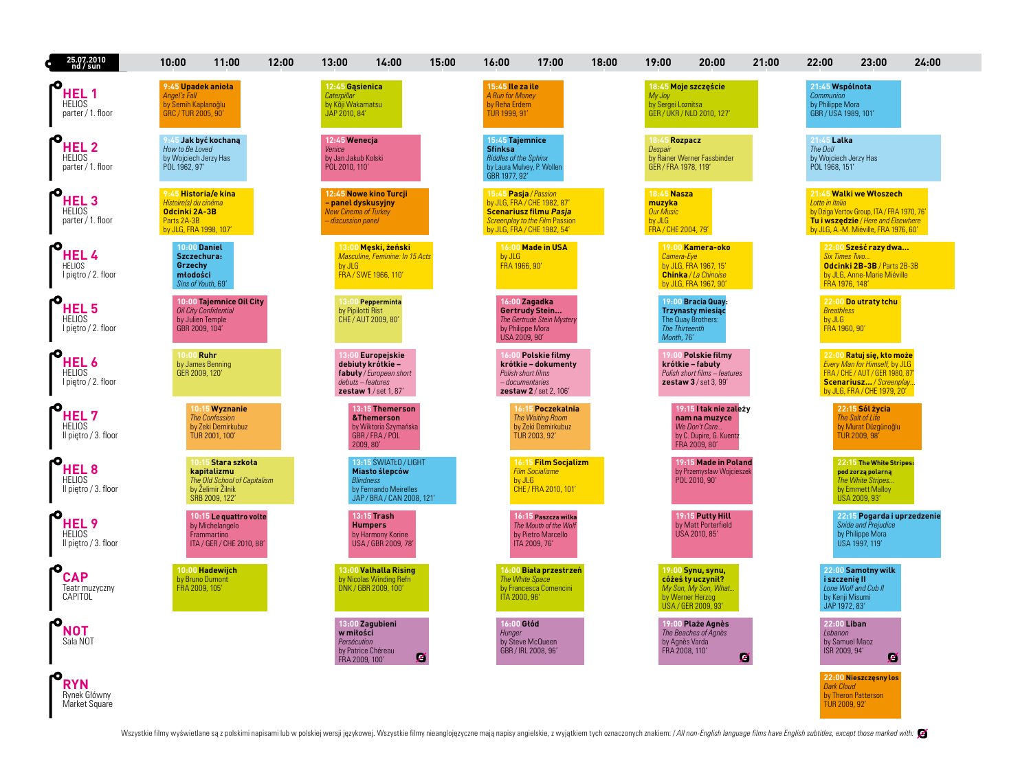| 25.07.2010<br>nd / sun                                    | 10:00                                                                                                   | 11:00                                                                                              | 12:00 | 13:00                                                                   | 14:00                                                                                                              | 15:00 | 16:00                                                                 | 17:00                                                                                                                               | 18:00 | 19:00                                                                      | 20:00                                                                                                      | 21:00 | 22:00                                                                    | 23:00                                                                                                                                                  | 24:00 |
|-----------------------------------------------------------|---------------------------------------------------------------------------------------------------------|----------------------------------------------------------------------------------------------------|-------|-------------------------------------------------------------------------|--------------------------------------------------------------------------------------------------------------------|-------|-----------------------------------------------------------------------|-------------------------------------------------------------------------------------------------------------------------------------|-------|----------------------------------------------------------------------------|------------------------------------------------------------------------------------------------------------|-------|--------------------------------------------------------------------------|--------------------------------------------------------------------------------------------------------------------------------------------------------|-------|
| HEL 1<br><b>HELIOS</b><br>parter / 1. floor               | 9:45 Upadek anioła<br>Angel's Fall<br>by Semih Kaplanoğlu<br>GRC / TUR 2005, 90'                        |                                                                                                    |       | 12:45 Gasienica<br>Caternillar<br>by Kôji Wakamatsu<br>JAP 2010, 84'    |                                                                                                                    |       | 15:45 Ile za ile<br>A Run for Money<br>by Reha Erdem<br>TUR 1999, 91' |                                                                                                                                     |       | My Joy<br>by Sergei Loznitsa                                               | 18:45 Moje szczęście<br>GER / UKR / NLD 2010, 127'                                                         |       | 21:45 Wspólnota<br>Communion<br>by Philippe Mora<br>GBR / USA 1989, 101' |                                                                                                                                                        |       |
| <b>HEL2</b><br>HELIOS<br>parter / 1. floor                | How to Be Loved<br>by Wojciech Jerzy Has<br>POL 1962, 97'                                               | Jak być kochana                                                                                    |       | 12:45 Wenecja<br>Venice<br>by Jan Jakub Kolski<br>POL 2010, 110'        |                                                                                                                    |       | 15:45 Tajemnice<br><b>Sfinksa</b><br><b>Riddles of the Sphinx</b>     | by Laura Mulvey, P. Wollen<br>GBR 1977, 92'                                                                                         |       | 18:45 Rozpacz<br>Despair<br>GER / FRA 1978, 119'                           | by Rainer Werner Fassbinder                                                                                |       | 21:45 Lalka<br>The Doll<br>by Wojciech Jerzy Has<br>POL 1968, 151'       |                                                                                                                                                        |       |
| <b>HEL 3</b><br><b>HELIOS</b><br>parter / 1. floor        | 9:45 Historia/e kina<br>Histoire(s) du cinéma<br>Odcinki 2A-3B<br>Parts 2A-3B<br>by JLG, FRA 1998, 107' |                                                                                                    |       | - panel dyskusyjny<br><b>New Cinema of Turkey</b><br>- discussion panel | 12:45 Nowe kino Turcji                                                                                             |       | 15:45 Pasja / Passion                                                 | by JLG, FRA / CHE 1982, 87<br><b>Scenariusz filmu Pasja</b><br><b>Screenplay to the Film Passion</b><br>by JLG, FRA / CHE 1982, 54' |       | 18:45 Nasza<br>muzyka<br><b>Our Music</b><br>by JLG<br>FRA / CHE 2004, 79' |                                                                                                            |       | Lotte in Italia                                                          | 21:45 Walki we Włoszech<br>by Dziga Vertov Group, ITA / FRA 1970, 76'<br>Tu i wszędzie / Here and Elsewhere<br>by JLG, A.-M. Miéville, FRA 1976, 60'   |       |
| HEL 4<br><b>HELIOS</b><br>I piętro / 2. floor             | <b>10:00 Daniel</b><br>Szczechura:<br>Grzechy<br>młodości<br>Sins of Youth, 69'                         |                                                                                                    |       | by JLG                                                                  | 13:00 Meski, żeński<br>Masculine, Feminine: In 15 Acts<br>FRA / SWE 1966, 110                                      |       | by JLG<br>FRA 1966, 90'                                               | 16:00 Made in USA                                                                                                                   |       | Camera-Eye                                                                 | 19:00 Kamera-oko<br>by JLG, FRA 1967, 15'<br>Chinka / La Chinoise<br>by JLG, FRA 1967, 90'                 |       | <b>Six Times Two</b><br>FRA 1976, 148'                                   | 22:00 Sześć razy dwa<br>Odcinki 2B-3B / Parts 2B-3B<br>by JLG, Anne-Marie Miéville                                                                     |       |
| <b>HEL5</b><br><b>HELIOS</b><br>I piętro / 2. floor       | by Julien Temple<br>GBR 2009, 104'                                                                      | 10:00 Tajemnice Oil City<br><b>Oil City Confidential</b>                                           |       | by Pipilotti Rist                                                       | 13:00 Pepperminta<br>CHE / AUT 2009, 80'                                                                           |       | USA 2009, 90'                                                         | 16:00 Zagadka<br>Gertrudy Stein<br>The Gertrude Stein Mystery<br>by Philippe Mora                                                   |       | <b>The Thirteenth</b><br>Month, 76'                                        | 19:00 Bracia Quav:<br><b>Trzynasty miesiąc</b><br>The Quay Brothers:                                       |       | <b>Breathless</b><br>by JLG<br>FRA 1960, 90'                             | 22:00 Do utraty tchu                                                                                                                                   |       |
| <b>HEL 6</b><br><b>HELIOS</b><br>I piętro / 2. floor      | 10:00 Ruhr<br>GER 2009, 120'                                                                            | by James Benning                                                                                   |       |                                                                         | Europeiskie<br>debiuty krótkie -<br>fabuły / European short<br>debuts - features<br>zestaw 1 / set 1, 87'          |       |                                                                       | <b>Polskie filmy</b><br>krótkie – dokumenty<br>Polish short films<br><i>-documentaries</i><br>zestaw 2 / set 2, 106'                |       |                                                                            | <b>Polskie filmy</b><br>krótkie - fabuły<br>Polish short films - features<br>zestaw 3 / set 3, 99'         |       |                                                                          | 22:00 Ratuj się, kto może<br>Every Man for Himself, by JLG<br>FRA / CHE / AUT / GER 1980, 87<br>Scenariusz / Screenplay<br>by JLG, FRA / CHE 1979, 20' |       |
| HEL 7<br><b>HELIOS</b><br>Il piętro / 3. floor            |                                                                                                         | 10:15 Wyznanie<br><b>The Confession</b><br>by Zeki Demirkubuz<br>TUR 2001, 100'                    |       |                                                                         | 13:15 Themerson<br>&Themerson<br>by Wiktoria Szymańska<br>GBR/FRA/POL<br>2009, 80'                                 |       |                                                                       | 16:15 Poczekalnia<br>The Waiting Room<br>by Zeki Demirkubuz<br>TUR 2003, 92'                                                        |       |                                                                            | 19:15 I tak nie zalęży<br>nam na muzyce<br>We Don't Care<br>by C. Dupire, G. Kuentz<br>FRA 2009, 80'       |       |                                                                          | 22:15 Sól życia<br>The Salt of Life<br>by Murat Düzgünoğlu<br>TUR 2009, 98'                                                                            |       |
| <b>HEL 8</b><br><b>HELIOS</b><br>Il pietro / 3. floor     |                                                                                                         | Stara szkoła<br>kapitalizmu<br>The Old School of Capitalism<br>by Želimir Žilnik<br>SRB 2009, 122' |       |                                                                         | 13:15 ŚWIATŁO / LIGHT<br>Miasto ślepców<br><b>Blindness</b><br>by Fernando Meirelles<br>JAP / BRA / CAN 2008, 121' |       |                                                                       | 16:15 Film Socjalizm<br><b>Film Socialisme</b><br>by JLG<br>CHE / FRA 2010, 101'                                                    |       |                                                                            | 19:15 Made in Poland<br>by Przemysław Wojcieszek<br>POL 2010, 90'                                          |       |                                                                          | 22:15 The White Stripes:<br>pod zorzą polarną<br>The White Stripes<br>by Emmett Malloy<br>USA 2009, 93'                                                |       |
| HEL <sub>9</sub><br><b>HELIOS</b><br>Il piętro / 3. floor |                                                                                                         | 10:15 Le quattro volte<br>by Michelangelo<br>Frammartino<br>ITA / GER / CHE 2010, 88'              |       |                                                                         | 13:15 Trash<br><b>Humpers</b><br>by Harmony Korine<br>USA / GBR 2009, 78'                                          |       |                                                                       | 16:15 Paszcza wilka<br>The Mouth of the Woh<br>by Pietro Marcello<br>ITA 2009, 76'                                                  |       |                                                                            | 19:15 Putty Hill<br>by Matt Porterfield<br>USA 2010, 85'                                                   |       |                                                                          | 22:15 Pogarda i uprzedzenie<br><b>Snide and Prejudice</b><br>by Philippe Mora<br>USA 1997, 119'                                                        |       |
| <b>CAP</b><br>Teatr muzyczny<br>CAPITOL                   | by Bruno Dumont<br>FRA 2009, 105'                                                                       | 10:00 Hadewijch                                                                                    |       |                                                                         | 13:00 Valhalla Rising<br>by Nicolas Winding Refn<br>DNK / GBR 2009, 100'                                           |       | ITA 2000, 96'                                                         | 16:00 Biała przestrzeń<br>The White Space<br>by Francesca Comencini                                                                 |       |                                                                            | 19:00 Synu, synu,<br>cóżeś ty uczynił?<br>My Son, My Son, What.<br>by Werner Herzog<br>USA / GER 2009, 93' |       | i szczenię II<br>by Kenji Misumi<br>JAP 1972, 83'                        | 22:00 Samotny wilk<br>Lone Wolf and Cub II                                                                                                             |       |
| NOT<br>Sala NOT                                           |                                                                                                         |                                                                                                    |       | w miłości<br>Persécution<br>FRA 2009, 100'                              | 13:00 Zagubieni<br>by Patrice Chéreau                                                                              | z     | 16:00 Głód<br>Hunger                                                  | by Steve McQueen<br>GBR / IRL 2008, 96'                                                                                             |       | by Agnès Varda<br>FRA 2008, 110'                                           | 19:00 Plaże Agnès<br>The Beaches of Agnès                                                                  | Z     | 22:00 Liban<br>Lebanon<br>ISR 2009, 94'                                  | by Samuel Maoz<br>Ø                                                                                                                                    |       |
| <b>RYN</b><br>Rynek Główny<br>Market Square               |                                                                                                         |                                                                                                    |       |                                                                         |                                                                                                                    |       |                                                                       |                                                                                                                                     |       |                                                                            |                                                                                                            |       | <b>Dark Cloud</b><br>TUR 2009, 92'                                       | 22:00 Nieszczęsny los<br>by Theron Patterson                                                                                                           |       |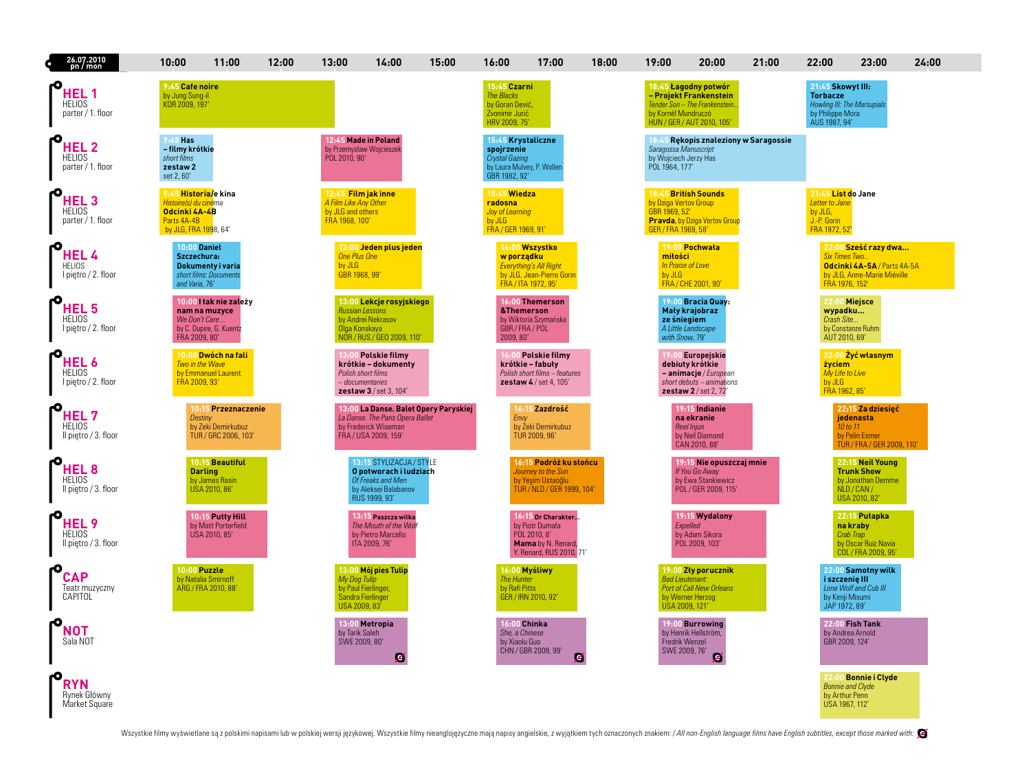| 26.07.2010<br>pn / mon                                    | 10:00                                                                                                  | 11:00                                                                | 12:00 | 13:00                                                                               | 14:00                                                                                                            | 15:00                                 | 16:00                                                                                                    | 17:00                                                                                                   | 18:00 | 19:00                                                           | 20:00                                                                                                                  | 21:00 | 22:00                                                                                                    | 23:00                                                                                      | 24:00 |
|-----------------------------------------------------------|--------------------------------------------------------------------------------------------------------|----------------------------------------------------------------------|-------|-------------------------------------------------------------------------------------|------------------------------------------------------------------------------------------------------------------|---------------------------------------|----------------------------------------------------------------------------------------------------------|---------------------------------------------------------------------------------------------------------|-------|-----------------------------------------------------------------|------------------------------------------------------------------------------------------------------------------------|-------|----------------------------------------------------------------------------------------------------------|--------------------------------------------------------------------------------------------|-------|
| HEL 1<br><b>HELIOS</b><br>parter / 1. floor               | 9:45 Cafe noire<br>by Jung Sung-il<br>KOR 2009, 197'                                                   |                                                                      |       |                                                                                     |                                                                                                                  |                                       | 15:45 Czarni<br><b>The Blacks</b><br>by Goran Dević,<br>Zvonimir Jurić<br>HRV 2009, 75'                  |                                                                                                         |       | by Kornél Mundruczó                                             | 18:45 Łagodny potwór<br>- Projekt Frankenstein<br>Tender Son - The Frankenstein<br>HUN / GER / AUT 2010, 105'          |       | 21:45 Skowyt III:<br><b>Torbacze</b><br>Howling III: The Marsupials<br>by Philippe Mora<br>AUS 1987, 94' |                                                                                            |       |
| HEL <sub>2</sub><br><b>HELIOS</b><br>parter / 1. floor    | $9:45$ Has<br>- filmy krótkie<br>short films<br>zestaw <sub>2</sub><br>set 2,60'                       |                                                                      |       | by Przemysław Wojcieszel<br>POL 2010, 90'                                           | 12:45 Made in Poland                                                                                             |                                       | 15:45 Krystaliczne<br>spojrzenie<br><b>Crystal Gazing</b><br>by Laura Mulvey, P. Woller<br>GBR 1982, 92' |                                                                                                         |       | Saragossa Manuscript<br>by Woiciech Jerzy Has<br>POL 1964, 177' | 18:45 Rekopis znaleziony w Saragossie                                                                                  |       |                                                                                                          |                                                                                            |       |
| <b>HEL3</b><br><b>HELIOS</b><br>parter / 1. floor         | 9:45 Historia/e kina<br>Histoireís) du cinéma<br>Odcinki 4A-4B<br>Parts 4A-4B<br>by JLG, FRA 1998, 64' |                                                                      |       | 12:45 Film jak inne<br>A Film Like Any Other<br>by JLG and others<br>FRA 1968, 100' |                                                                                                                  |                                       | 15:45 Wiedza<br>radosna<br>Joy of Learning<br>by JLG<br>FRA / GER 1969, 91'                              |                                                                                                         |       | by Dziga Vertov Group<br>GBR 1969, 52<br>GER / FRA 1969, 58'    | 18:45 British Sounds<br><b>Pravda</b> , by Dziga Vertov Group                                                          |       | 21:45 List do Jane<br>Letter to Jane<br>by JLG,<br>J.-P. Gorin<br>FRA 1972, 52'                          |                                                                                            |       |
| <b>HEL4</b><br><b>HELIOS</b><br>I piętro / 2. floor       | <b>10:00 Daniel</b><br>Szczechura:<br>and Varia, 76'                                                   | Dokumenty i varia<br>short films: Documents                          |       | <b>One Plus One</b><br>by JLG<br>GBR 1968, 99                                       | 13:00 Jeden plus jeden                                                                                           |                                       | w porządku                                                                                               | 16:00 Wszystko<br><b>Everything's All Right</b><br>by JLG, Jean-Pierre Gorin<br>FRA / ITA 1972, 95'     |       | miłości<br>In Praise of Love<br>by JLG                          | 19:00 Pochwała<br>FRA / CHE 2001, 90'                                                                                  |       | <b>Six Times Two</b><br>FRA 1976, 152'                                                                   | 22:00 Sześć razy dwa<br>Odcinki 4A-5A / Parts 4A-5A<br>by JLG, Anne-Marie Miéville         |       |
| HEL <sub>5</sub><br><b>HELIOS</b><br>I pietro / 2. floor  | We Don't Care.<br>FRA 2009, 80'                                                                        | 10:00 I tak nie zależy<br>nam na muzyce<br>by C. Dupire, G. Kuentz   |       | <b>Russian Lessons</b><br>Olga Konskaya                                             | 13:00 Lekcje rosyjskiego<br>by Andrei Nekrasov<br>NOR / RUS / GEO 2009, 110'                                     |                                       | 2009.80                                                                                                  | 16:00 Themerson<br>&Themerson<br>by Wiktoria Szymańska<br>GBR/FRA/POL                                   |       | ze śniegiem<br>with Snow, 79'                                   | 19:00 Bracia Quay<br>Mały krajobraz<br>A Little Landscape                                                              |       | wypadku<br>Crash Site<br>AUT 2010, 69'                                                                   | 22:00 Miejsce<br>by Constanze Ruhm                                                         |       |
| <b>HEL6</b><br><b>HELIOS</b><br>I piętro / 2. floor       | Two in the Wave<br>FRA 2009, 93'                                                                       | 10:00 Dwóch na fali<br>by Emmanuel Laurent                           |       | Polish short films                                                                  | Polskie filmy<br>krótkie – dokumenty<br>- documentaries<br>zestaw 3 / set 3, 104'                                |                                       |                                                                                                          | <b>Polskie filmy</b><br>krótkie – fabuły<br>Polish short films - features<br>zestaw $4/$ set 4, 105'    |       |                                                                 | 9:00 Europejskie<br>debiuty krótkie<br>- animacje / European<br>short debuts - animations<br>$z$ estaw $2$ / set 2, 72 |       | życiem<br>My Life to Live<br>by JLG<br>FRA 1962, 85'                                                     | 22:00 Żyć własnym                                                                          |       |
| <b>HEL7</b><br><b>HELIOS</b><br>Il pietro / 3. floor      | Destiny                                                                                                | 10:15 Przeznaczenie<br>by Zeki Demirkubuz<br>TUR / GRC 2006, 103     |       |                                                                                     | La Danse. The Paris Opera Ballet<br>by Frederick Wiseman<br>FRA / USA 2009, 159'                                 | 13:00 La Danse. Balet Opery Paryskiej | Envy                                                                                                     | 16:15 Zazdrość<br>by Zeki Demirkubuz<br>TUR 2009, 96'                                                   |       |                                                                 | 19:15 Indianie<br>na ekranie<br>Reel Injun<br>by Neil Diamond<br>CAN 2010, 88'                                         |       |                                                                                                          | 22:15 Za dziesięć<br>jedenasta<br>10 to 11<br>by Pelin Esmer<br>TUR / FRA / GER 2009, 110' |       |
| HEL <sub>8</sub><br><b>HELIOS</b><br>Il pietro / 3. floor |                                                                                                        | 10:15 Beautiful<br><b>Darling</b><br>by James Rasin<br>USA 2010, 86' |       |                                                                                     | 13:15 STYLIZACJA / STYLE<br>O potworach i ludziach<br>Of Freaks and Men<br>by Aleksei Balabanov<br>RUS 1999, 93' |                                       |                                                                                                          | 16:15 Podróż ku słońcu<br>Journey to the Sun<br>by Yeşim Ustaoğlu<br>TUR / NLD / GER 1999, 104'         |       |                                                                 | 19:15 Nie opuszczaj mnie<br>If You Go Away<br>by Ewa Stankiewicz<br>POL / GER 2009, 115'                               |       |                                                                                                          | 22:15 Neil Young<br><b>Trunk Show</b><br>by Jonathan Demme<br>NLD/CAN/<br>USA 2010, 82'    |       |
| HEL <sub>9</sub><br><b>HELIOS</b><br>Il pietro / 3. floor |                                                                                                        | 10:15 Putty Hill<br>by Matt Porterfield<br>USA 2010, 85'             |       |                                                                                     | 13:15 Paszcza wilka<br>The Mouth of the Wolf<br>by Pietro Marcello<br>ITA 2009, 76'                              |                                       |                                                                                                          | 16:15 Dr Charakter<br>by Piotr Dumała<br>POL 2010, 8'<br>Mama by N. Renard,<br>Y. Renard, RUS 2010, 71' |       |                                                                 | 19:15 Wydalony<br>Expelled<br>by Adam Sikora<br>POL 2009, 103'                                                         |       |                                                                                                          | 22:15 Pułapka<br>na kraby<br>Crab Trap<br>by Oscar Ruiz Navia<br>COL / FRA 2009, 95'       |       |
| <b>CAP</b><br>Teatr muzyczny<br>CAPITOL                   | 10:00 Puzzle                                                                                           | by Natalia Smirnoff<br>ARG / FRA 2010, 88'                           |       | My Dog Tulip<br>by Paul Fierlinger,<br>Sandra Fierlinger<br>USA 2009, 83'           | 13:00 Mój pies Tulip                                                                                             |                                       | <b>The Hunter</b><br>by Rafi Pitts                                                                       | 16:00 Myśliwy<br>GER / IRN 2010, 92'                                                                    |       | <b>Bad Lieutenant:</b><br>USA 2009, 121'                        | 19:00 Zły porucznik<br><b>Port of Call New Orleans</b><br>by Werner Herzog                                             |       | i szczenie III<br>by Kenji Misumi<br>JAP 1972, 89'                                                       | 22:00 Samotny wilk<br>Lone Wolf and Cub III                                                |       |
| <b>NOT</b><br>Sala NOT                                    |                                                                                                        |                                                                      |       | by Tarik Saleh<br>SWE 2009, 80'                                                     | 13:00 Metropia<br>Z                                                                                              |                                       | She, a Chinese<br>by Xiaolu Guo                                                                          | <b>16:00 Chinka</b><br>CHN / GBR 2009, 99'<br>Z                                                         |       | Fredrik Wenzel<br>SWE 2009, 76'                                 | 19:00 Burrowing<br>by Henrik Hellström.<br>Ø                                                                           |       | GBR 2009, 124'                                                                                           | 22:00 Fish Tank<br>by Andrea Arnold                                                        |       |
| <b>RYN</b><br>Rynek Główny<br>Market Square               |                                                                                                        |                                                                      |       |                                                                                     |                                                                                                                  |                                       |                                                                                                          |                                                                                                         |       |                                                                 |                                                                                                                        |       | by Arthur Penn<br>USA 1967, 112'                                                                         | 22:00 Bonnie i Clyde<br><b>Bonnie and Clyde</b>                                            |       |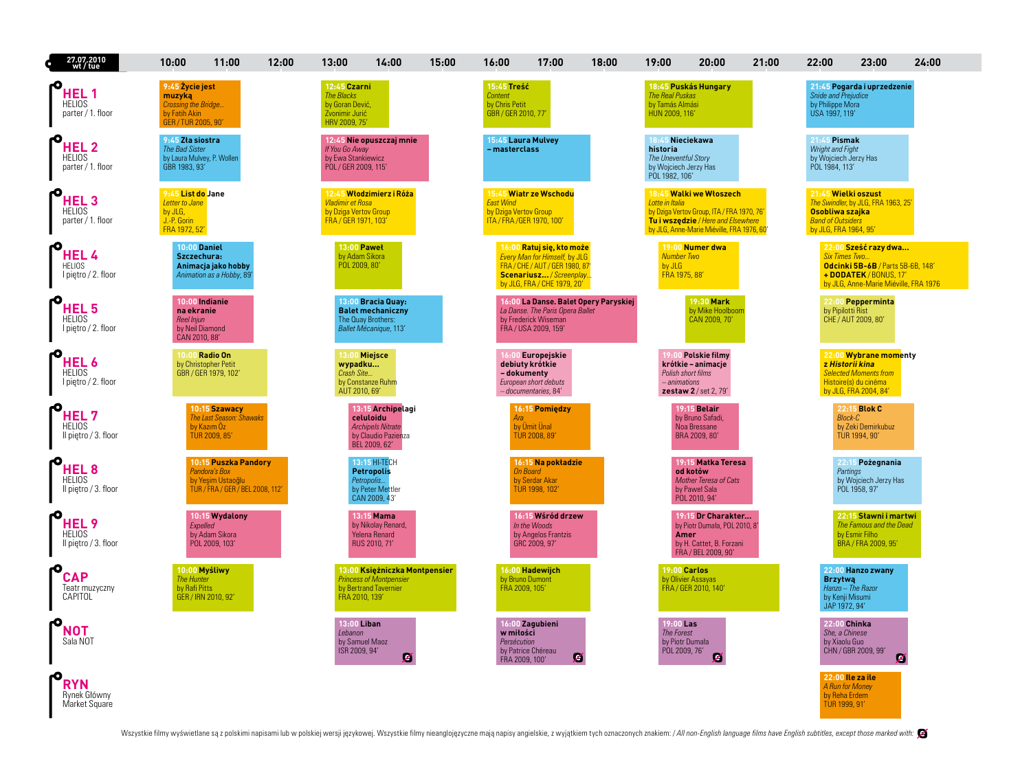| 27.07.2010<br>wt/tue                                      | 10:00                                                                                    | 11:00                                                                                          | 12:00 | 13:00                                                                                   | 14:00                                                                                              | 15:00 | 16:00                                                                   | 17:00                                                                                                                                                         | 18:00 | 19:00                                                                                           | 20:00                                                                                                                                                    | 21:00 | 22:00                                                                                       | 23:00                                                                                                                        | 24:00 |
|-----------------------------------------------------------|------------------------------------------------------------------------------------------|------------------------------------------------------------------------------------------------|-------|-----------------------------------------------------------------------------------------|----------------------------------------------------------------------------------------------------|-------|-------------------------------------------------------------------------|---------------------------------------------------------------------------------------------------------------------------------------------------------------|-------|-------------------------------------------------------------------------------------------------|----------------------------------------------------------------------------------------------------------------------------------------------------------|-------|---------------------------------------------------------------------------------------------|------------------------------------------------------------------------------------------------------------------------------|-------|
| HEL <sub>1</sub><br><b>HELIOS</b><br>parter / 1. floor    | 9:45 Życie jest<br>muzyką<br>Crossing the Bridge<br>by Fatih Akin<br>GER / TUR 2005, 90' |                                                                                                |       | 12:45 Czarni<br><b>The Blacks</b><br>by Goran Dević,<br>Zvonimir Jurić<br>HRV 2009, 75' |                                                                                                    |       | 15:45 Treść<br>Content<br>by Chris Petit<br>GBR / GER 2010, 77          |                                                                                                                                                               |       | <b>The Real Puskas</b><br>by Tamás Almási<br>HUN 2009, 116'                                     | 18:45 Puskás Hungary                                                                                                                                     |       | Snide and Prejudice<br>by Philippe Mora<br>USA 1997, 119'                                   | 21:45 Pogarda i uprzedzenie                                                                                                  |       |
| HEL <sub>2</sub><br><b>HELIOS</b><br>parter / 1. floor    | 9:45 Zła siostra<br>The Bad Sister<br>by Laura Mulvey, P. Wollen<br>GBR 1983, 93'        |                                                                                                |       | If You Go Away<br>by Ewa Stankiewicz<br>POL / GER 2009, 115'                            | 12:45 Nie opuszczaj mnie                                                                           |       | 15:45 Laura Mulvey<br>masterclass                                       |                                                                                                                                                               |       | 18:45 Nieciekawa<br>historia<br>The Uneventful Story<br>by Wojciech Jerzy Has<br>POL 1982, 106' |                                                                                                                                                          |       | 21.7<br><b>Pismak</b><br>Wright and Fight<br>by Wojciech Jerzy Has<br>POL 1984, 113'        |                                                                                                                              |       |
| <b>HEL3</b><br><b>HELIOS</b><br>parter / 1. floor         | 9:45 List do Jane<br>Letter to Jane<br>by JLG,<br>J.-P. Gorin<br>FRA 1972, 52'           |                                                                                                |       | <b>Vladimir et Rosa</b><br>by Dziga Vertov Group<br>FRA / GER 1971, 103                 | 12:45 Włodzimierz i Róża                                                                           |       | <b>East Wind</b><br>by Dziga Vertov Group<br>ITA / FRA / GER 1970, 100' | 15:45 Wiatr ze Wschodu                                                                                                                                        |       | Lotte in Italia                                                                                 | 18:45 Walki we Włoszech<br>by Dziga Vertov Group, ITA / FRA 1970, 76'<br>Tu i wszedzie / Here and Elsewhere<br>by JLG, Anne-Marie Miéville, FRA 1976, 60 |       | 21:45 Wielki oszust<br>Osobliwa szajka<br><b>Band of Outsiders</b><br>by JLG, FRA 1964, 95' | The Swindler, by JLG, FRA 1963, 25'                                                                                          |       |
| <b>HEL4</b><br><b>HELIOS</b><br>I piętro / 2. floor       | <b>10:00 Daniel</b><br>Szczechura:                                                       | Animacja jako hobby<br>Animation as a Hobby, 89                                                |       | 13:00 Paweł<br>by Adam Sikora<br>POL 2009, 80'                                          |                                                                                                    |       |                                                                         | 16:00 Ratuj się, kto może<br><b>Every Man for Himself, by JLG</b><br>FRA / CHE / AUT / GER 1980, 87<br>Scenariusz / Screenplay<br>by JLG, FRA / CHE 1979, 20' |       | <b>Number Two</b><br>by JLG<br>FRA 1975, 88'                                                    | 19:00 Numer dwa                                                                                                                                          |       | <b>Six Times Two</b>                                                                        | 22:00 Sześć razy dwa<br>Odcinki 5B-6B / Parts 5B-6B, 148'<br>+ DODATEK / BONUS, 17'<br>by JLG, Anne-Marie Miéville, FRA 1976 |       |
| HEL <sub>5</sub><br><b>HELIOS</b><br>I piętro / 2. floor  | na ekranie<br>Reel Injun<br>by Neil Diamond<br>CAN 2010, 88'                             | 10:00 Indianie                                                                                 |       |                                                                                         | 13:00 Bracia Quav:<br><b>Balet mechaniczny</b><br>The Quay Brothers:<br>Ballet Mécanique, 113'     |       |                                                                         | 16:00 La Danse. Balet Opery Paryskiej<br>La Danse. The Paris Opera Ballet<br>by Frederick Wiseman<br>FRA / USA 2009, 159'                                     |       |                                                                                                 | 19:30 Mark<br>by Mike Hoolboom<br>CAN 2009, 70'                                                                                                          |       | by Pipilotti Rist                                                                           | 22:00 Pepperminta<br>CHE / AUT 2009, 80'                                                                                     |       |
| <b>HEL6</b><br><b>HELIOS</b><br>I piętro / 2. floor       |                                                                                          | 10:00 Radio On<br>by Christopher Petit<br>GBR / GER 1979, 102'                                 |       | 13:00 Miejsce<br>wypadku<br>Crash Site<br>AUT 2010, 69'                                 | by Constanze Ruhm                                                                                  |       | - dokumenty                                                             | Europejskie<br>debiuty krótkie<br>European short debuts<br>- documentaries, 84'                                                                               |       | <i>- animations</i>                                                                             | Polskie filmy<br>krótkie - animacje<br>Polish short films<br>zestaw 2 / set 2, 79'                                                                       |       | z Historii kina                                                                             | 22:00 Wybrane momenty<br><b>Selected Moments from</b><br>Histoire(s) du cinéma<br>by JLG, FRA 2004, 84'                      |       |
| HEL <sub>7</sub><br><b>HELIOS</b><br>Il pietro / 3. floor |                                                                                          | 10:15 Szawacy<br><b>The Last Season: Shawaks</b><br>by Kazım Oz<br>TUR 2009, 85'               |       |                                                                                         | 13:15 Archipelagi<br>celuloidu<br><b>Archipels Nitrate</b><br>by Claudio Pazienza<br>BEL 2009, 62' |       | Ara                                                                     | 16:15 Pomiedzy<br>by Umit Unal<br>TUR 2008, 89'                                                                                                               |       |                                                                                                 | <b>19:15 Belair</b><br>by Bruno Safadi,<br>Noa Bressane<br>BRA 2009, 80'                                                                                 |       | <b>Block-C</b>                                                                              | 22:15 Blok C<br>by Zeki Demirkubuz<br>TUR 1994, 90'                                                                          |       |
| <b>HEL8</b><br><b>HELIOS</b><br>Il pietro / 3. floor      |                                                                                          | 10:15 Puszka Pandory<br>Pandora's Box<br>by Yesim Ustaoğlu<br>TUR / FRA / GER / BEL 2008, 112' |       |                                                                                         | 13:15 HI-TECH<br><b>Petropolis</b><br>Petropolis<br>by Peter Mettler<br>CAN 2009, 43'              |       | <b>On Board</b>                                                         | 16:15 Na pokładzie<br>by Serdar Akar<br>TUR 1998, 102'                                                                                                        |       |                                                                                                 | 19:15 Matka Teresa<br>od kotów<br><b>Mother Teresa of Cats</b><br>by Paweł Sala<br>POL 2010, 94'                                                         |       | Partings                                                                                    | 22:15 Pożegnania<br>by Wojciech Jerzy Has<br>POL 1958, 97'                                                                   |       |
| HEL <sub>9</sub><br><b>HELIOS</b><br>Il pietro / 3. floor | Expelled                                                                                 | 10:15 Wydalony<br>by Adam Sikora<br>POL 2009, 103'                                             |       |                                                                                         | 13:15 Mama<br>by Nikolay Renard,<br>Yelena Renard<br>RUS 2010, 71'                                 |       |                                                                         | 16:15 Wśród drzew<br>In the Woods<br>by Angelos Frantzis<br>GRC 2009, 97'                                                                                     |       | Amer                                                                                            | 19:15 Dr Charakter<br>by Piotr Dumala, POL 2010, 8<br>by H. Cattet, B. Forzani<br>FRA / BEL 2009, 90'                                                    |       |                                                                                             | 22:15 Stawni i martwi<br>The Famous and the Dead<br>by Esmir Filho<br>BRA / FRA 2009, 95'                                    |       |
| <b>CAP</b><br>Teatr muzyczny<br>CAPITOL                   | <b>The Hunter</b><br>by Rafi Pitts                                                       | 10:00 Myśliwy<br>GER / IRN 2010, 92'                                                           |       | FRA 2010, 139'                                                                          | 13:00 Ksieżniczka Montpensier<br><b>Princess of Montpensier</b><br>by Bertrand Tavernier           |       | by Bruno Dumont<br>FRA 2009, 105'                                       | 16:00 Hadewiich                                                                                                                                               |       | <b>19:00 Carlos</b>                                                                             | by Olivier Assayas<br>FRA / GER 2010, 140'                                                                                                               |       | <b>Brzytwą</b><br>Hanzo - The Razor<br>by Kenii Misumi<br>JAP 1972, 94'                     | 22:00 Hanzo zwany                                                                                                            |       |
| <b>NOT</b><br>Sala NOT                                    |                                                                                          |                                                                                                |       | $13:00$ Liban<br><b>Lebanon</b><br>by Samuel Maoz<br>ISR 2009, 94'                      | ø                                                                                                  |       | w miłości<br>Persécution<br>by Patrice Chéreau<br>FRA 2009, 100'        | 16:00 Zagubieni<br>z                                                                                                                                          |       | $19:00$ Las<br>The Forest<br>by Piotr Dumala<br>POL 2009, 76'                                   | Z                                                                                                                                                        |       | <b>22:00 Chinka</b><br>She, a Chinese<br>by Xiaolu Guo                                      | CHN / GBR 2009, 99'<br>z                                                                                                     |       |
| <b>RYN</b><br>Rynek Główny<br>Market Square               |                                                                                          |                                                                                                |       |                                                                                         |                                                                                                    |       |                                                                         |                                                                                                                                                               |       |                                                                                                 |                                                                                                                                                          |       | 22:00 Ile za ile<br>A Run for Money<br>by Reha Erdem<br>TUR 1999, 91'                       |                                                                                                                              |       |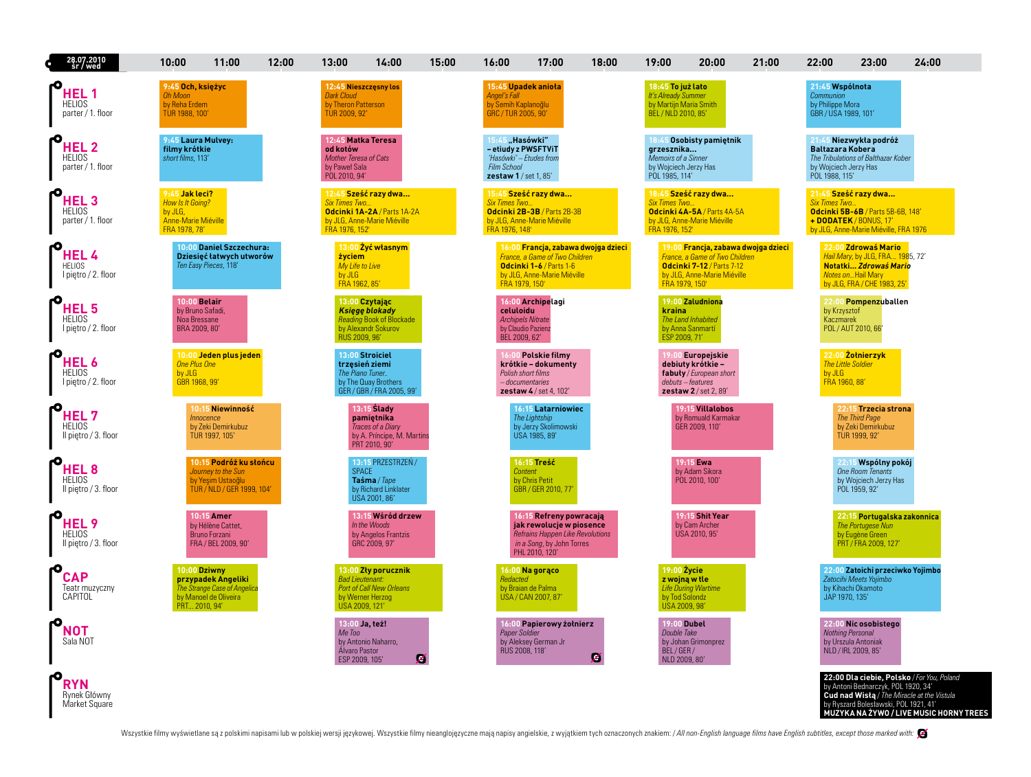| 28.07.2010<br>sr / wed                                    | 10:00                                                                                        | 11:00                                                                                           | 12:00 | 13:00                                                                                            | 14:00                                                                                           | 15:00 | 16:00                                                                                                     | 17:00                                                                                                                                         | 18:00 | 19:00                                                                                     | 20:00                                                                                                                                    | 21:00 | 22:00                                                                    | 23:00                                                                                                                                       | 24:00                                                                                                                               |
|-----------------------------------------------------------|----------------------------------------------------------------------------------------------|-------------------------------------------------------------------------------------------------|-------|--------------------------------------------------------------------------------------------------|-------------------------------------------------------------------------------------------------|-------|-----------------------------------------------------------------------------------------------------------|-----------------------------------------------------------------------------------------------------------------------------------------------|-------|-------------------------------------------------------------------------------------------|------------------------------------------------------------------------------------------------------------------------------------------|-------|--------------------------------------------------------------------------|---------------------------------------------------------------------------------------------------------------------------------------------|-------------------------------------------------------------------------------------------------------------------------------------|
| HEL 1<br><b>HELIOS</b><br>parter / 1. floor               | 9:45 Och, księżyc<br><b>Oh Moon</b><br>by Reha Erdem<br>TUR 1988, 100'                       |                                                                                                 |       | 12:45 Nieszczęsny los<br><b>Dark Cloud</b><br>by Theron Patterson<br>TUR 2009, 92'               |                                                                                                 |       | 15:45 Upadek anioła<br><b>Angel's Fall</b><br>by Semih Kaplanoğlu<br>GRC / TUR 2005, 90'                  |                                                                                                                                               |       | 18:45 To już lato<br>It's Already Summer<br>by Martijn Maria Smith<br>BEL / NLD 2010, 85' |                                                                                                                                          |       | 21:45 Wspólnota<br>Communion<br>by Philippe Mora<br>GBR / USA 1989, 101' |                                                                                                                                             |                                                                                                                                     |
| <b>HEL2</b><br><b>HELIOS</b><br>parter / 1. floor         | 9:45 Laura Mulvey:<br>filmy krótkie<br>short films, 113'                                     |                                                                                                 |       | 12:45 Matka Teresa<br>od kotów<br><b>Mother Teresa of Cats</b><br>by Paweł Sala<br>POL 2010, 94' |                                                                                                 |       | 15:45 "Hasówki"<br>- etiudy z PWSFTViT<br>'Hasówki' - Etudes from<br>Film School<br>zestaw 1 / set 1, 85' |                                                                                                                                               |       | grzesznika<br><b>Memoirs of a Sinner</b><br>by Wojciech Jerzy Has<br>POL 1985, 114'       | 18:45 Osobisty pamietnik                                                                                                                 |       | <b>Baltazara Kobera</b><br>by Wojciech Jerzy Has<br>POL 1988, 115'       | 21:45 Niezwykła podróż<br>The Tribulations of Balthazar Kober                                                                               |                                                                                                                                     |
| HEL <sub>3</sub><br><b>HELIOS</b><br>parter / 1. floor    | 9:45 Jak leci?<br>How Is It Going?<br>by JLG,<br><b>Anne-Marie Miéville</b><br>FRA 1978, 78' |                                                                                                 |       | <b>Six Times Two.</b><br>FRA 1976, 152'                                                          | 12:45 Sześć razy dwa<br>Odcinki 1A-2A / Parts 1A-2A<br>by JLG, Anne-Marie Miéville              |       | <b>Six Times Two</b><br>FRA 1976, 148'                                                                    | 15:45 Sześć razy dwa<br>Odcinki 2B-3B / Parts 2B-3B<br>by JLG, Anne-Marie Miéville                                                            |       | <b>Six Times Two</b><br>FRA 1976, 152'                                                    | 18:45 Sześć razy dwa<br>Odcinki 4A-5A / Parts 4A-5A<br>by JLG, Anne-Marie Miéville                                                       |       | <b>Six Times Two</b>                                                     | 21:45 Sześć razy dwa<br>Odcinki 5B-6B / Parts 5B-6B, 148'<br>+ DODATEK / BONUS, 17'<br>by JLG, Anne-Marie Miéville, FRA 1976                |                                                                                                                                     |
| <b>HEL4</b><br><b>HELIOS</b><br>I piętro / 2. floor       |                                                                                              | 10:00 Daniel Szczechura:<br>Dziesięć łatwych utworów<br>Ten Easy Pieces, 118'                   |       | <b>życiem</b><br>My Life to Live<br>by JLG<br>FRA 1962, 85'                                      | 13:00 Żyć własnym                                                                               |       | FRA 1979, 150'                                                                                            | 16:00 Francja, zabawa dwojga dzieci<br><b>France, a Game of Two Children</b><br>Odcinki 1-6 / Parts 1-6<br>by JLG, Anne-Marie Miéville        |       | FRA 1979, 150'                                                                            | 19:00 Francja, zabawa dwojga dzieci<br><b>France, a Game of Two Children</b><br>Odcinki 7-12 / Parts 7-12<br>by JLG, Anne-Marie Miéville |       |                                                                          | 22:00 Zdrowaś Mario<br>Hail Mary, by JLG, FRA 1985, 72'<br>Notatki Zdrowaś Mario<br><b>Notes onHail Mary</b><br>by JLG, FRA / CHE 1983, 25' |                                                                                                                                     |
| HEL <sub>5</sub><br><b>HELIOS</b><br>I piętro / 2. floor  | 10:00 Belair<br>by Bruno Safadi,<br>Noa Bressane<br>BRA 2009, 80'                            |                                                                                                 |       | 13:00 Czytając<br>RUS 2009, 96'                                                                  | <b>Ksiege blokady</b><br><b>Reading Book of Blockade</b><br>by Alexandr Sokurov                 |       | celuloidu<br><b>Archipels Nitrate</b><br>by Claudio Pazienz<br>BEL 2009, 62'                              | 16:00 Archipelagi                                                                                                                             |       | kraina<br>ESP 2009, 71'                                                                   | 19:00 Zaludniona<br>The Land Inhabited<br>by Anna Sanmartí                                                                               |       | by Krzysztof<br>Kaczmarek                                                | 22:00 Pompenzuballen<br>POL / AUT 2010, 66'                                                                                                 |                                                                                                                                     |
| HEL <sub>6</sub><br><b>HELIOS</b><br>I piętro / 2. floor  | <b>One Plus One</b><br>by JLG<br>GBR 1968, 99'                                               | 10:00 Jeden plus jeden                                                                          |       | 13:00 Stroiciel<br>trzesień ziemi<br>The Piano Tuner                                             | by The Quay Brothers<br>GER / GBR / FRA 2005, 99'                                               |       | Polish short films<br>- documentaries                                                                     | 6:00 Polskie filmv<br>krótkie – dokumenty<br>zestaw $4$ / set 4, 102'                                                                         |       | debuts - features                                                                         | 19:00 Europeiskie<br>debiuty krótkie -<br>fabuty / European short<br>$z$ estaw $2$ / set 2, 89'                                          |       | by JLG<br>FRA 1960, 88'                                                  | 22:00 Zotnierzyk<br><b>The Little Soldier</b>                                                                                               |                                                                                                                                     |
| HEL <sub>7</sub><br><b>HELIOS</b><br>Il piętro / 3. floor | <i><b>Innocence</b></i>                                                                      | 10:15 Niewinność<br>by Zeki Demirkubuz<br>TUR 1997, 105'                                        |       |                                                                                                  | $13:15$ Slady<br>pamietnika<br>Traces of a Diary<br>by A. Príncipe, M. Martins<br>PRT 2010, 90' |       |                                                                                                           | <b>16:15 Latarniowiec</b><br><b>The Lightship</b><br>by Jerzy Skolimowski<br>USA 1985, 89'                                                    |       |                                                                                           | 19:15 Villalobos<br>by Romuald Karmakar<br>GER 2009, 110'                                                                                |       |                                                                          | 22:15 Trzecia strona<br><b>The Third Page</b><br>by Zeki Demirkubuz<br>TUR 1999, 92'                                                        |                                                                                                                                     |
| HEL <sub>8</sub><br><b>HELIOS</b><br>Il piętro / 3. floor |                                                                                              | 10:15 Podróż ku słońcu<br>Journey to the Sun<br>by Yesim Ustaoğlu<br>TUR / NLD / GER 1999, 104' |       | <b>SPACE</b>                                                                                     | 13:15 PRZESTRZEN /<br>Taśma / Tape<br>by Richard Linklater<br>USA 2001, 86'                     |       | Content                                                                                                   | <b>16:15 Treść</b><br>by Chris Petit<br>GBR / GER 2010, 77'                                                                                   |       |                                                                                           | 19:15 Ewa<br>by Adam Sikora<br>POL 2010, 100'                                                                                            |       |                                                                          | 22:15 Wspólny pokói<br><b>One Room Tenants</b><br>by Wojciech Jerzy Has<br>POL 1959, 92'                                                    |                                                                                                                                     |
| HEL <sub>9</sub><br><b>HELIOS</b><br>Il piętro / 3. floor |                                                                                              | 10:15 Amer<br>by Hélène Cattet.<br>Bruno Forzani<br>FRA / BEL 2009, 90'                         |       |                                                                                                  | 13:15 Wśród drzew<br>In the Woods<br>by Angelos Frantzis<br>GRC 2009, 97'                       |       |                                                                                                           | 16:15 Refreny powracają<br>jak rewolucje w piosence<br><b>Refrains Happen Like Revolutions</b><br>in a Song, by John Torres<br>PHL 2010, 120' |       |                                                                                           | 19:15 Shit Year<br>by Cam Archer<br>USA 2010, 95'                                                                                        |       |                                                                          | 22:15 Portugalska zakonnica<br><b>The Portugese Nun</b><br>by Eugène Green<br>PRT / FRA 2009, 127                                           |                                                                                                                                     |
| <b>CAP</b><br>Teatr muzyczny<br>CAPITOL                   | 10:00 Dziwny<br>PRT 2010, 94'                                                                | przypadek Angeliki<br>The Strange Case of Angelica<br>by Manoel de Oliveira                     |       | <b>Bad Lieutenant:</b><br>by Werner Herzog<br>USA 2009, 121'                                     | 13:00 Zły porucznik<br><b>Port of Call New Orleans</b>                                          |       | Redacted                                                                                                  | 16:00 Na gorąco<br>by Braian de Palma<br>USA / CAN 2007, 87                                                                                   |       | 19:00 Zycie<br>z wojną w tle<br>by Tod Solondz<br>USA 2009, 98'                           | <b>Life During Wartime</b>                                                                                                               |       | JAP 1970, 135'                                                           | 22:00 Zatoichi przeciwko Yoiimbo<br>Zatocihi Meets Yoiimbo<br>by Kihachi Okamoto                                                            |                                                                                                                                     |
| <b>NOT</b><br>Sala NOT                                    |                                                                                              |                                                                                                 |       | 13:00 Ja, też!<br>Me Too<br>Álvaro Pastor<br>ESP 2009, 105'                                      | by Antonio Naharro.                                                                             | z     | <b>Paper Soldier</b><br>RUS 2008, 118'                                                                    | 16:00 Papierowy żołnierz<br>by Aleksey German Jr                                                                                              | Z     | <b>19:00 Dubel</b><br>Double Take<br>BEL/GER/<br>NLD 2009, 80'                            | by Johan Grimonprez                                                                                                                      |       |                                                                          | 22:00 Nic osobistego<br>Nothing Personal<br>by Urszula Antoniak<br>NLD / IRL 2009, 85'                                                      |                                                                                                                                     |
| RYN<br>Rynek Główny<br>Market Square                      |                                                                                              |                                                                                                 |       |                                                                                                  |                                                                                                 |       |                                                                                                           |                                                                                                                                               |       |                                                                                           |                                                                                                                                          |       |                                                                          | by Antoni Bednarczyk, POL 1920, 34'<br>by Ryszard Bolesławski, POL 1921, 41'                                                                | 22:00 Dla ciebie, Polsko / For You, Poland<br>Cud nad Wistą / The Miracle at the Vistula<br>MUZYKA NA ŻYWO / LIVE MUSIC HORNY TREES |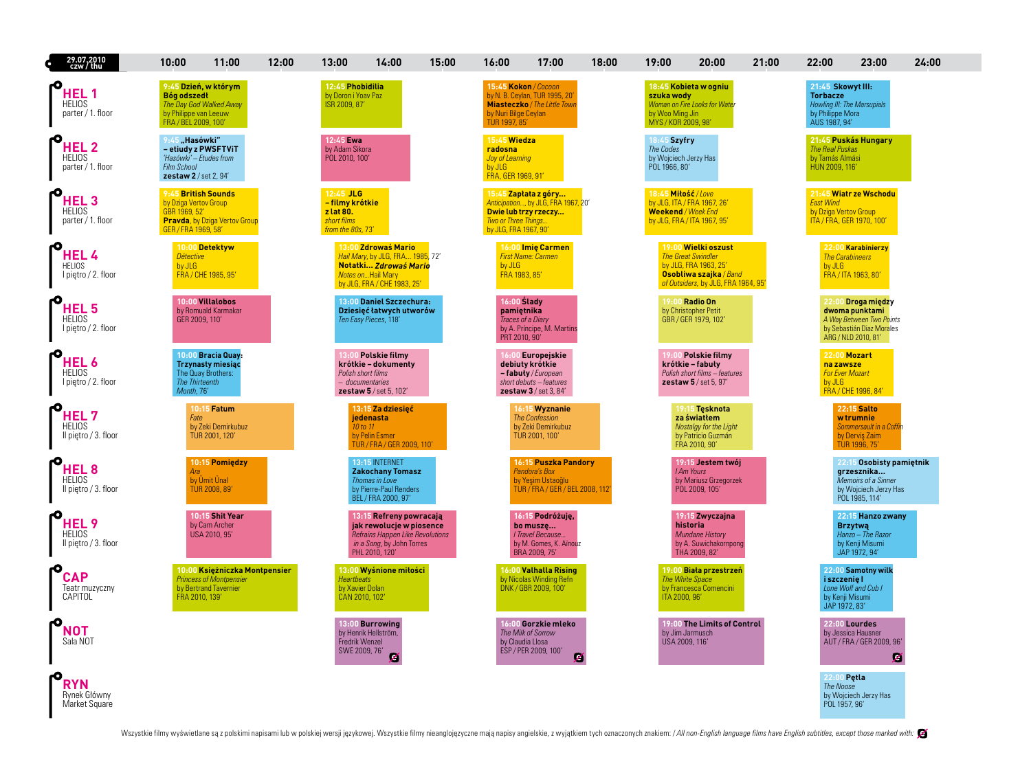| 29.07.2010<br>czw / thu                                   | 10:00                                                                                | 11:00                                                                                    | 12:00 | 13:00                                                                           | 14:00                                                                                                                                        | 15:00 | 16:00                                                                      | 17:00                                                                                                       | 18:00 | 19:00                                                               | 20:00                                                                                                                                      | 21:00 | 22:00                                                                                                    | 23:00                                                                                                                | 24:00 |
|-----------------------------------------------------------|--------------------------------------------------------------------------------------|------------------------------------------------------------------------------------------|-------|---------------------------------------------------------------------------------|----------------------------------------------------------------------------------------------------------------------------------------------|-------|----------------------------------------------------------------------------|-------------------------------------------------------------------------------------------------------------|-------|---------------------------------------------------------------------|--------------------------------------------------------------------------------------------------------------------------------------------|-------|----------------------------------------------------------------------------------------------------------|----------------------------------------------------------------------------------------------------------------------|-------|
| HEL 1<br><b>HELIOS</b><br>parter / 1. floor               | <b>Bóg odszedł</b><br>by Philippe van Leeuw<br>FRA / BEL 2009, 100'                  | 9:45 Dzień, w którym<br>The Day God Walked Away                                          |       | 12:45 Phobidilia<br>by Doron i Yoav Paz<br>ISR 2009, 87'                        |                                                                                                                                              |       | by Nuri Bilge Ceylan<br>TUR 1997, 85'                                      | 15:45 Kokon / Cocoon<br>by N. B. Ceylan, TUR 1995, 20'<br><b>Miasteczko</b> / The Little Town               |       | szuka wody<br>by Woo Ming Jin<br>MYS / KOR 2009, 98'                | 18:45 Kobieta w ogniu<br>Woman on Fire Looks for Water                                                                                     |       | 21:45 Skowyt III:<br><b>Torbacze</b><br>Howling III: The Marsupials<br>by Philippe Mora<br>AUS 1987, 94' |                                                                                                                      |       |
| <b>HEL 2</b><br><b>HELIOS</b><br>parter / 1. floor        | 9:45 "Hasówki"<br>'Hasówki' - Etudes from<br>Film School<br>zestaw 2 / set 2, 94'    | - etiudy z PWSFTViT                                                                      |       | 12:45 Ewa<br>by Adam Sikora<br>POL 2010, 100'                                   |                                                                                                                                              |       | 15:45 Wiedza<br>radosna<br>Joy of Learning<br>by JLG<br>FRA, GER 1969, 91' |                                                                                                             |       | 18:45 Szyfry<br>The Codes<br>by Wojciech Jerzy Has<br>POL 1966, 80' |                                                                                                                                            |       | The Real Puskas<br>by Tamás Almási<br>HUN 2009, 116'                                                     | 21:45 Puskás Hungary                                                                                                 |       |
| <b>HEL 3</b><br><b>HELIOS</b><br>parter / 1. floor        | 9:45 British Sounds<br>by Dziga Vertov Group<br>GBR 1969, 52'<br>GER / FRA 1969, 58' | <b>Pravda</b> , by Dziga Vertov Group                                                    |       | $12:45$ JLG<br>- filmy krótkie<br>z lat 80.<br>short films<br>from the 80s, 73' |                                                                                                                                              |       | Two or Three Things<br>by JLG, FRA 1967, 90'                               | 15:45 Zapłata z góry<br>Anticipation, by JLG, FRA 1967, 20'<br>Dwie lub trzy rzeczy                         |       | 18:45 Mitość / Love<br>Weekend / Week End                           | by JLG, ITA / FRA 1967, 26'<br>by JLG, FRA / ITA 1967, 95'                                                                                 |       | <b>East Wind</b><br>by Dziga Vertov Group<br>ITA / FRA, GER 1970, 100'                                   | 21:45 Wiatr ze Wschodu                                                                                               |       |
| HEL 4<br><b>HELIOS</b><br>I piętro / 2. floor             | <b>Détective</b><br>by JLG                                                           | 10:00 Detektyw<br>FRA / CHE 1985, 95'                                                    |       |                                                                                 | 13:00 Zdrowaś Mario<br>Hail Mary, by JLG, FRA 1985, 72'<br>Notatki Zdrowaś Mario<br><b>Notes onHail Mary</b><br>by JLG, FRA / CHE 1983, 25'  |       | by JLG<br>FRA 1983, 85'                                                    | 16:00 Imie Carmen<br><b>First Name: Carmen</b>                                                              |       |                                                                     | 19:00 Wielki oszust<br><b>The Great Swindler</b><br>by JLG, FRA 1963, 25'<br>Osobliwa szajka / Band<br>of Outsiders, by JLG, FRA 1964, 95' |       | <b>The Carabineers</b><br>by JLG                                                                         | 22:00 Karabinierzy<br>FRA / ITA 1963, 80'                                                                            |       |
| HEL 5<br><b>HELIOS</b><br>I pietro / 2. floor             | GER 2009, 110'                                                                       | 10:00 Villalobos<br>by Romuald Karmakar                                                  |       |                                                                                 | 13:00 Daniel Szczechura:<br>Dziesięć łatwych utworów<br>Ten Easy Pieces, 118'                                                                |       | $16:00$ Slady<br>pamiętnika<br>PRT 2010, 90'                               | Traces of a Diary<br>by A. Príncipe, M. Martins                                                             |       |                                                                     | 19:00 Radio On<br>by Christopher Petit<br>GBR / GER 1979, 102'                                                                             |       |                                                                                                          | 22:00 Droga między<br>dwoma punktami<br>A Way Between Two Points<br>by Sebastián Diaz Morales<br>ARG / NLD 2010, 81' |       |
| HEL 6<br><b>HELIOS</b><br>I piętro / 2. floor             | <b>The Thirteenth</b><br>Month, 76'                                                  | 10:00 Bracia Quay:<br><b>Trzynasty miesiąc</b><br>The Quay Brothers:                     |       |                                                                                 | 3:00 Polskie filmy<br>krótkie – dokumenty<br>Polish short films<br>- documentaries<br><b>zestaw 5</b> / set 5, 102'                          |       |                                                                            | Europejskie<br>debiuty krótkie<br>- fabuty / European<br>short debuts - features<br>zestaw $3$ / set 3, 84' |       |                                                                     | 9:00 Polskie filmy<br>krótkie – fabuły<br>Polish short films - features<br>zestaw 5 / set 5, 97'                                           |       | 22:00 Mozart<br>na zawsze<br><b>For Ever Mozart</b><br>by JLG                                            | FRA / CHE 1996, 84'                                                                                                  |       |
| HEL <sub>7</sub><br><b>HELIOS</b><br>Il piętro / 3. floor | Fate                                                                                 | 10:15 Fatum<br>by Zeki Demirkubuz<br>TUR 2001, 120'                                      |       |                                                                                 | 13:15 Za dziesięć<br><b>iedenasta</b><br>10 to 11<br>by Pelin Esmer<br>TUR / FRA / GER 2009, 110'                                            |       |                                                                            | 16:15 Wyznanie<br><b>The Confession</b><br>by Zeki Demirkubuz<br>TUR 2001, 100'                             |       |                                                                     | 19:15 Tesknota<br>za światłem<br>Nostalgy for the Light<br>by Patricio Guzmán<br>FRA 2010, 90'                                             |       |                                                                                                          | <b>22:15 Salto</b><br>w trumnie<br>Sommersault in a Coffin<br>by Dervis Zaim<br>TUR 1996, 75'                        |       |
| <b>HEL<sub>8</sub></b><br>HELIOS<br>Il pietro / 3. floor  | Ara                                                                                  | 10:15 Pomiędzy<br>by Umit Unal<br><b>TUR 2008, 89'</b>                                   |       |                                                                                 | 13:15 INTERNET<br><b>Zakochany Tomasz</b><br>Thomas in Love<br>by Pierre-Paul Renders<br>BEL / FRA 2000, 97'                                 |       |                                                                            | <b>16:15 Puszka Pandory</b><br>Pandora's Box<br>by Yesim Ustaoğlu<br>TUR / FRA / GER / BEL 2008, 112        |       |                                                                     | 19:15 Jestem twói<br><b>IAm Yours</b><br>by Mariusz Grzegorzek<br>POL 2009, 105'                                                           |       |                                                                                                          | 22:15 Osobisty pamietnik<br>grzesznika<br>Memoirs of a Sinner<br>by Wojciech Jerzy Has<br>POL 1985, 114'             |       |
| HEL <sub>9</sub><br><b>HELIOS</b><br>Il pietro / 3. floor |                                                                                      | 10:15 Shit Year<br>by Cam Archer<br>USA 2010, 95'                                        |       |                                                                                 | 13:15 Refreny powracają<br>jak rewolucje w piosence<br><b>Refrains Happen Like Revolutions</b><br>in a Song, by John Torres<br>PHI 2010 120' |       |                                                                            | 16:15 Podróżuję,<br>bo musze<br>I Travel Because<br>by M. Gomes, K. Aïnouz<br>BRA 2009, 75'                 |       |                                                                     | 19:15 Zwyczajna<br>historia<br><b>Mundane History</b><br>by A. Suwichakornpong<br>THA 2009, 82'                                            |       |                                                                                                          | 22:15 Hanzo zwany<br><b>Brzytwą</b><br>Hanzo - The Razor<br>by Kenii Misumi<br>JAP 1972.94'                          |       |
| <b>CAP</b><br>Teatr muzyczny<br>CAPITOL                   | FRA 2010, 139'                                                                       | 10:00 Księżniczka Montpensier<br><b>Princess of Montpensier</b><br>by Bertrand Tavernier |       | <b>Heartbeats</b><br>by Xavier Dolan<br>CAN 2010, 102'                          | 13:00 Wyśnione miłości                                                                                                                       |       |                                                                            | 16:00 Valhalla Rising<br>by Nicolas Winding Refn<br>DNK / GBR 2009, 100'                                    |       | ITA 2000, 96'                                                       | 19:00 Biała przestrzeń<br>The White Space<br>by Francesca Comencini                                                                        |       | i szczenie l<br>by Kenji Misumi<br>JAP 1972, 83'                                                         | 22:00 Samotny wilk<br>Lone Wolf and Cub I                                                                            |       |
| NOT<br>Sala NOT                                           |                                                                                      |                                                                                          |       | Fredrik Wenzel<br>SWE 2009, 76'                                                 | 13:00 Burrowing<br>by Henrik Hellström,<br>z                                                                                                 |       | by Claudia Llosa                                                           | 16:00 Gorzkie mleko<br>The Milk of Sorrow<br>ESP / PER 2009, 100'<br>Z                                      |       | USA 2009, 116'                                                      | 19:00 The Limits of Control<br>by Jim Jarmusch                                                                                             |       |                                                                                                          | 22:00 Lourdes<br>by Jessica Hausner<br>AUT / FRA / GER 2009, 96'<br>Z                                                |       |
| RYN<br>Rynek Główny<br>Market Square                      |                                                                                      |                                                                                          |       |                                                                                 |                                                                                                                                              |       |                                                                            |                                                                                                             |       |                                                                     |                                                                                                                                            |       | 22:00 Petla<br><b>The Noose</b><br>POL 1957, 96'                                                         | by Wojciech Jerzy Has                                                                                                |       |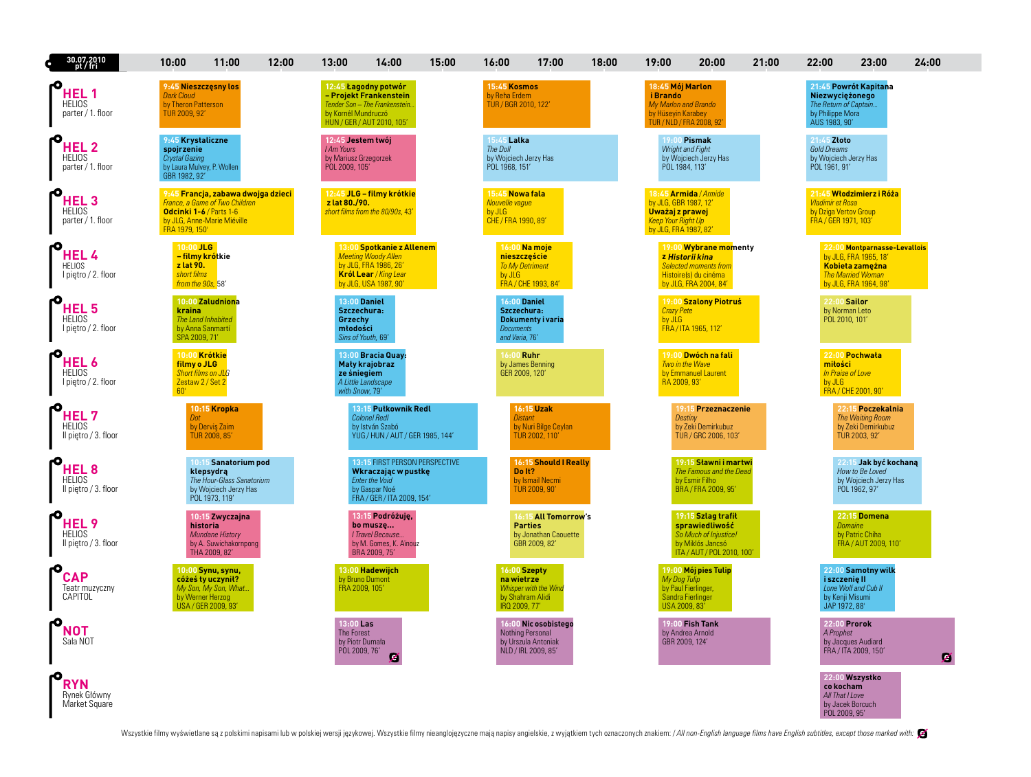| 30.07.2010<br>pt / fri                                | 10:00                                                                                           | 11:00                                                                                                     | 12:00 | 13:00                                                                             | 14:00                                                                                                                              | 15:00 | 16:00                                                                     | 17:00                                                                                  | 18:00 | 19:00                                                                                          | 20:00                                                                                                                      | 21:00 | 22:00                                           | 23:00                                                                                                                  | 24:00 |
|-------------------------------------------------------|-------------------------------------------------------------------------------------------------|-----------------------------------------------------------------------------------------------------------|-------|-----------------------------------------------------------------------------------|------------------------------------------------------------------------------------------------------------------------------------|-------|---------------------------------------------------------------------------|----------------------------------------------------------------------------------------|-------|------------------------------------------------------------------------------------------------|----------------------------------------------------------------------------------------------------------------------------|-------|-------------------------------------------------|------------------------------------------------------------------------------------------------------------------------|-------|
| HEL 1<br><b>HELIOS</b><br>parter / 1. floor           | 9:45 Nieszczęsny los<br><b>Dark Cloud</b><br>by Theron Patterson<br>TUR 2009, 92'               |                                                                                                           |       | by Kornél Mundruczó                                                               | 12:45 Łagodny potwór<br>- Projekt Frankenstein<br>Tender Son - The Frankenstein<br>HUN / GER / AUT 2010, 105'                      |       | 15:45 Kosmos<br>by Reha Erdem<br>TÚR / BGR 2010, 122′                     |                                                                                        |       | 18:45 Mój Marlon<br>i Brando<br>My Marlon and Brando<br>by Hüseyin Karabey                     | TUR / NLD / FRA 2008, 92'                                                                                                  |       | by Philippe Mora<br>AUS 1983 90'                | 21:45 Powrót Kapitana<br>Niezwyciężonego<br>The Return of Captain                                                      |       |
| <b>HEL 2</b><br><b>HELIOS</b><br>parter / 1. floor    | 9:45 Krystaliczne<br>spojrzenie<br>Crystal Gazing<br>by Laura Mulvey, P. Wollen<br>GBR 1982 92' |                                                                                                           |       | 12:45 Jestem twój<br><b>I Am Yours</b><br>by Mariusz Grzegorzek<br>POL 2009, 105' |                                                                                                                                    |       | 15:45 Lalka<br>The Doll<br>by Wojciech Jerzy Has<br>POL 1968, 151'        |                                                                                        |       |                                                                                                | 19:00 Pismak<br>Wright and Fight<br>by Wojciech Jerzy Has<br>POL 1984, 113'                                                |       | 21:45 Złoto<br>Gold Dreams<br>POL 1961, 91'     | by Wojciech Jerzy Has                                                                                                  |       |
| <b>HEL3</b><br><b>HELIOS</b><br>parter / 1. floor     | Odcinki 1-6 / Parts 1-6<br>FRA 1979, 150'                                                       | 9:45 Francja, zabawa dwojga dzieci<br>France, a Game of Two Children<br>by JLG, Anne-Marie Miéville       |       | z lat 80./90.                                                                     | 12:45 JLG - filmy krótkie<br>short films from the 80/90s, 43'                                                                      |       | 15:45 Nowa fala<br><b>Nouvelle vaque</b><br>by JLG<br>CHE / FRA 1990, 89' |                                                                                        |       | by JLG, GBR 1987, 12'<br>Uważaj z prawej<br><b>Keep Your Right Up</b><br>by JLG, FRA 1987, 82' | 18:45 Armida / Armide                                                                                                      |       | <b>Vladimir et Rosa</b><br>FRA / GER 1971, 103' | 21:45 Włodzimierz i Róża<br>by Dziga Vertov Group                                                                      |       |
| <b>HEL4</b><br><b>HELIOS</b><br>I piętro / 2. floor   | 10:00 JLG<br>z lat 90.<br>short films<br>from the 90s, 58'                                      | – filmy krótkie                                                                                           |       |                                                                                   | 13:00 Spotkanie z Allenem<br><b>Meeting Woody Allen</b><br>by JLG, FRA 1986, 26'<br>Król Lear / King Lear<br>by JLG, USA 1987, 90' |       | by JLG                                                                    | 16:00 Na moje<br>nieszczęście<br><b>To My Detriment</b><br>FRA / CHE 1993, 84'         |       |                                                                                                | 19:00 Wybrane momenty<br>z Historii kina<br><b>Selected moments from</b><br>Histoire(s) du cinéma<br>by JLG, FRA 2004, 84' |       |                                                 | 22:00 Montparnasse-Levallois<br>by JLG, FRA 1965, 18'<br>Kobieta zamężna<br>The Married Woman<br>by JLG, FRA 1964, 98' |       |
| HEL 5<br><b>HELIOS</b><br>I piętro / 2. floor         | kraina<br>SPA 2009, 71'                                                                         | 10:00 Zaludniona<br>The Land Inhabited<br>by Anna Sanmartí                                                |       | Grzechy<br>młodości                                                               | <b>13:00 Daniel</b><br>Szczechura:<br>Sins of Youth, 69'                                                                           |       | <b>Documents</b><br>and Varia, 76'                                        | <b>16:00 Daniel</b><br>Szczechura:<br>Dokumenty i varia                                |       | <b>Crazy Pete</b><br>by JLG                                                                    | 19:00 Szalony Piotruś<br>FRA / ITA 1965, 112'                                                                              |       |                                                 | 22:00 Sailor<br>by Norman Leto<br>POL 2010, 101'                                                                       |       |
| <b>HEL 6</b><br><b>HELIOS</b><br>I piętro / 2. floor  | 10:00 Krótkie<br>filmy o JLG<br>Zestaw 2 / Set 2<br>60'                                         | <b>Short films on JLG</b>                                                                                 |       |                                                                                   | 13:00 Bracia Quay:<br>Mały krajobraz<br>ze śniegiem<br>A Little Landscape<br>with Snow, 79'                                        |       |                                                                           | 16:00 Ruhr<br>by James Benning<br>GER 2009, 120'                                       |       | RA 2009, 93'                                                                                   | 19:00 Dwóch na fali<br>Two in the Wave<br>by Emmanuel Laurent                                                              |       | miłości<br>by JLG                               | 22:00 Pochwała<br>In Praise of Love<br>FRA / CHE 2001, 90'                                                             |       |
| HEL 7<br><b>HELIOS</b><br>Il piętro / 3. floor        | Dot                                                                                             | 10:15 Kropka<br>by Dervis Zaim<br><b>TUR 2008, 85'</b>                                                    |       |                                                                                   | 13:15 Pułkownik Redl<br><b>Colonel Redl</b><br>by István Szabó<br>YUG / HUN / AUT / GER 1985, 144'                                 |       |                                                                           | <b>16:15 Uzak</b><br><b>Distant</b><br>by Nuri Bilge Ceylan<br>TUR 2002, 110           |       |                                                                                                | 19:15 Przeznaczenie<br>Destiny<br>by Zeki Demirkubuz<br>TUR / GRC 2006, 103'                                               |       |                                                 | 22:15 Poczekalnia<br><b>The Waiting Room</b><br>by Zeki Demirkubuz<br>TUR 2003, 92'                                    |       |
| <b>HEL 8</b><br><b>HELIOS</b><br>Il piętro / 3. floor |                                                                                                 | 10:15 Sanatorium pod<br>klepsydrą<br>The Hour-Glass Sanatorium<br>by Wojciech Jerzy Has<br>POL 1973, 119' |       |                                                                                   | 13:15 FIRST PERSON PERSPECTIVE<br>Wkraczając w pustkę<br><b>Enter the Void</b><br>by Gaspar Noé<br>FRA / GER / ITA 2009, 154'      |       |                                                                           | 16:15 Should I Really<br>Do It?<br>by Ismail Necmi<br>TUR 2009, 90'                    |       |                                                                                                | 19:15 Sławni i martwi<br>The Famous and the Dead<br>by Esmir Filho<br>BRA / FRA 2009, 95'                                  |       |                                                 | 22:15 Jak być kochana<br>How to Be Loved<br>by Wojciech Jerzy Has<br>POL 1962, 97'                                     |       |
| <b>HEL 9</b><br><b>HELIOS</b><br>Il piętro / 3. floor |                                                                                                 | 10:15 Zwyczajna<br>historia<br><b>Mundane History</b><br>by A. Suwichakornpong<br>THA 2009, 82'           |       |                                                                                   | 13:15 Podróżuje,<br>bo musze<br>I Travel Because<br>by M. Gomes, K. Aïnouz<br>BRA 2009, 75'                                        |       |                                                                           | <b>16:15 All Tomorrow's</b><br><b>Parties</b><br>by Jonathan Caouette<br>GBR 2009, 82' |       |                                                                                                | 19:15 Szlag trafił<br>sprawiedliwość<br>So Much of Injustice!<br>by Miklós Jancsó<br>ITA / AUT / POL 2010, 100'            |       |                                                 | <b>22:15 Domena</b><br><b>Domaine</b><br>by Patric Chiha<br>FRA / AUT 2009, 110'                                       |       |
| <b>CAP</b><br>Teatr muzyczny<br>CAPITOL               |                                                                                                 | 10:00 Synu, synu,<br>cóżeś ty uczynił?<br>My Son, My Son, What<br>by Werner Herzog<br>USA / GER 2009, 93' |       |                                                                                   | 13:00 Hadewiich<br>by Bruno Dumont<br>FRA 2009, 105'                                                                               |       | na wietrze<br>IRQ 2009, 77'                                               | 16:00 Szepty<br>Whisper with the Wind<br>by Shahram Alidi                              |       | My Dog Tulip                                                                                   | 19:00 Mój pies Tulip<br>by Paul Fierlinger,<br>Sandra Fierlinger<br>USA 2009, 83'                                          |       |                                                 | 22:00 Samotny wilk<br>i szczenię II<br>Lone Wolf and Cub II<br>by Kenji Misumi<br>JAP 1972, 88'                        |       |
| NOT<br>Sala NOT                                       |                                                                                                 |                                                                                                           |       | $13:00$ Las<br>The Forest<br>POL 2009, 76'                                        | by Piotr Dumala<br>Z                                                                                                               |       |                                                                           | 16:00 Nic osobistego<br>Nothing Personal<br>by Urszula Antoniak<br>NLD / IRL 2009, 85' |       |                                                                                                | 19:00 Fish Tank<br>by Andrea Arnold<br>GBR 2009, 124'                                                                      |       | A Prophet                                       | 22:00 Prorok<br>by Jacques Audiard<br>FRA / ITA 2009, 150'                                                             | Ø     |
| <b>RYN</b><br>Rynek Główny<br>Market Square           |                                                                                                 |                                                                                                           |       |                                                                                   |                                                                                                                                    |       |                                                                           |                                                                                        |       |                                                                                                |                                                                                                                            |       |                                                 | 22:00 Wszystko<br>co kocham<br>All That I Love<br>by Jacek Borcuch<br>POL 2009, 95'                                    |       |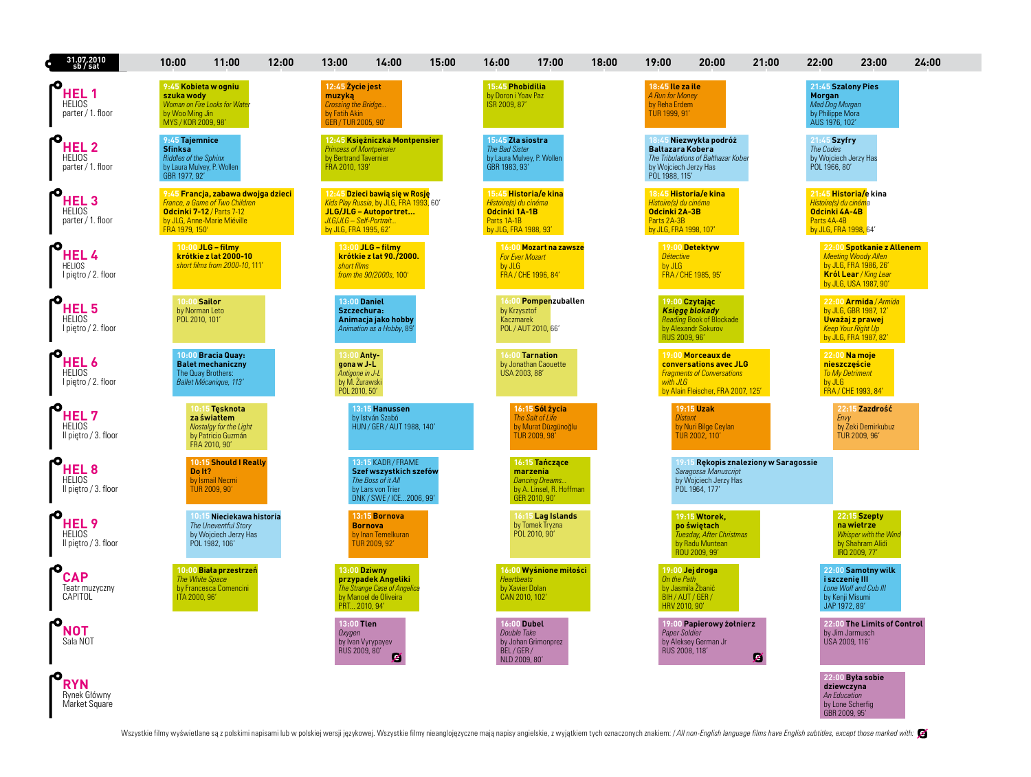| 31.07.2010<br>sb / sat                                    | 10:00                                                                                                           | 11:00                                                                                                                            | 12:00 | 13:00                                                                                             | 14:00                                                                                                               | 15:00 | 16:00                                                                          | 17:00                                                                                            | 18:00 | 19:00                                                                           | 20:00                                                                                                                  | 21:00                                 | 22:00                                                                                                   | 23:00                                                                                                                              | 24:00 |
|-----------------------------------------------------------|-----------------------------------------------------------------------------------------------------------------|----------------------------------------------------------------------------------------------------------------------------------|-------|---------------------------------------------------------------------------------------------------|---------------------------------------------------------------------------------------------------------------------|-------|--------------------------------------------------------------------------------|--------------------------------------------------------------------------------------------------|-------|---------------------------------------------------------------------------------|------------------------------------------------------------------------------------------------------------------------|---------------------------------------|---------------------------------------------------------------------------------------------------------|------------------------------------------------------------------------------------------------------------------------------------|-------|
| HEL 1<br><b>HELIOS</b><br>parter / 1. floor               | 9:45 Kobieta w ogniu<br>szuka wody<br>by Woo Ming Jin<br>MYS / KOR 2009, 98                                     | Woman on Fire Looks for Water                                                                                                    |       | 12:45 Życie jest<br>muzyką<br><b>Crossing the Bridge.</b><br>by Fatih Akin<br>GER / TUR 2005, 90' |                                                                                                                     |       | 15:45 Phobidilia<br>by Doron i Yoav Paz<br>ISR 2009, 87'                       |                                                                                                  |       | 18:45 Ile za ile<br>A Run for Money<br>by Reha Erdem<br>TUR 1999, 91'           |                                                                                                                        |                                       | 21:45 Szalony Pies<br><b>Morgan</b><br>Mad Dog Morgan<br>by Philippe Mora<br>AUS 1976, 102'             |                                                                                                                                    |       |
| <b>HEL2</b><br><b>HELIOS</b><br>parter / 1. floor         | 9:45 Taiemnice<br><b>Sfinksa</b><br><b>Riddles of the Sphinx</b><br>by Laura Mulvey, P. Wollen<br>GBR 1977, 92' |                                                                                                                                  |       | <b>Princess of Montpensier</b><br>by Bertrand Tavernier<br>FRA 2010, 139'                         | 12:45 Księżniczka Montpensier                                                                                       |       | 15:45 Zła siostra<br><b>The Bad Sister</b><br>GBR 1983, 93'                    | by Laura Mulvey, P. Wollen                                                                       |       | <b>Baltazara Kobera</b><br>by Wojciech Jerzy Has<br>POL 1988, 115'              | Niezwykła podróż<br>The Tribulations of Balthazar Kober                                                                |                                       | 21:45 Szvfrv<br><b>The Codes</b><br>by Wojciech Jerzy Has<br>POL 1966, 80'                              |                                                                                                                                    |       |
| HEL <sub>3</sub><br><b>HELIOS</b><br>parter / 1. floor    | FRA 1979, 150'                                                                                                  | 9:45 Francja, zabawa dwojga dzieci<br>France, a Game of Two Children<br>Odcinki 7-12 / Parts 7-12<br>by JLG, Anne-Marie Miéville |       | JLG/JLG - Self-Portrait<br>by JLG, FRA 1995, 62'                                                  | 12:45 Dzieci bawią się w Rosję<br>Kids Play Russia, by JLG, FRA 1993, 60'<br>JLG/JLG - Autoportret                  |       | Histoire(s) du cinéma<br>Odcinki 1A-1B<br>Parts 1A-1B<br>by JLG, FRA 1988, 93' | 15:45 Historia/e kina                                                                            |       | Histoire(s) du cinéma<br>Odcinki 2A-3B<br>Parts 2A-3B<br>by JLG, FRA 1998, 107' | 18:45 Historia/e kina                                                                                                  |                                       | 21:45 Historia/e kina<br>Histoire(s) du cinéma<br>Odcinki 4A-4B<br>Parts 4A-4B<br>by JLG, FRA 1998, 64' |                                                                                                                                    |       |
| <b>HEL4</b><br><b>HELIOS</b><br>I piętro / 2. floor       |                                                                                                                 | 10:00 JLG - filmy<br>krótkie z lat 2000-10<br>short films from 2000-10, 111'                                                     |       | short films                                                                                       | 13:00 JLG - filmy<br>krótkie z lat 90./2000.<br>from the 90/2000s, 100'                                             |       | by JLG                                                                         | 16:00 <mark>Mozart na zawsze</mark><br><b>For Ever Mozart</b><br>FRA / CHE 1996, 84'             |       | <b>Détective</b><br>by JLG                                                      | 19:00 Detektyw<br>FRA / CHE 1985, 95'                                                                                  |                                       |                                                                                                         | 22:00 Spotkanie z Allenem<br><b>Meeting Woody Allen</b><br>by JLG, FRA 1986, 26'<br>Król Lear / King Lear<br>by JLG, USA 1987, 90' |       |
| HEL <sub>5</sub><br><b>HELIOS</b><br>I pietro / 2. floor  | $10:00$ Sailor<br>by Norman Leto<br>POL 2010, 101'                                                              |                                                                                                                                  |       | Szczechura:                                                                                       | 13:00 Daniel<br>Animacja jako hobby<br>Animation as a Hobby, 89                                                     |       | by Krzysztof<br>Kaczmarek                                                      | 16:00 Pompenzuballen<br>POL / AUT 2010, 66'                                                      |       | RUS 2009, 96'                                                                   | 19:00 Czytając<br><b>Księgę blokady</b><br>Reading Book of Blockade<br>by Alexandr Sokurov                             |                                       |                                                                                                         | 22:00 Armida / Armida<br>by JLG, GBR 1987, 12'<br>Uważaj z prawej<br><b>Keep Your Right Up</b><br>by JLG, FRA 1987, 82'            |       |
| <b>HEL6</b><br><b>HELIOS</b><br>I piętro / 2. floor       |                                                                                                                 | 10:00 Bracia Quay:<br><b>Balet mechaniczny</b><br>The Quay Brothers:<br>Ballet Mécanique, 113'                                   |       | 13:00 Anty-<br>gona w J-L<br>Antigone in J-L<br>by M. Zurawski<br>POL 2010, 50'                   |                                                                                                                     |       | USA 2003, 88'                                                                  | 16:00 Tarnation<br>by Jonathan Caouette                                                          |       | with JLG                                                                        | 19:00 Morceaux de<br>conversations avec JLG<br><b>Fragments of Conversations</b><br>by Alain Fleischer, FRA 2007, 125' |                                       | nieszczęście<br><b>To My Detriment</b><br>by JLG                                                        | 22:00 Na moje<br>FRA / CHE 1993, 84'                                                                                               |       |
| HEL 7<br><b>HELIOS</b><br>Il piętro / 3. floor            |                                                                                                                 | 10:15 Tesknota<br>za światłem<br>Nostalgy for the Light<br>by Patricio Guzmán<br>FRA 2010, 90'                                   |       |                                                                                                   | 13:15 Hanussen<br>by István Szabó<br>HUN / GER / AUT 1988, 140'                                                     |       |                                                                                | 16:15 Sól życia<br>The Salt of Life<br>by Murat Düzgünoğlu<br>TUR 2009, 98                       |       | <b>Distant</b>                                                                  | <b>19:15 Uzak</b><br>by Nuri Bilge Ceylan<br>TUR 2002, 110'                                                            |                                       | Envy                                                                                                    | 22:15 Zazdrość<br>by Zeki Demirkubuz<br>TUR 2009, 96'                                                                              |       |
| HEL <sub>8</sub><br><b>HELIOS</b><br>Il pietro / 3. floor | Do It?                                                                                                          | 10:15 Should I Really<br>by Ismail Necmi<br>TUR 2009, 90'                                                                        |       |                                                                                                   | 13:15 KADR / FRAME<br>Szef wszystkich szefów<br>The Boss of it All<br>by Lars von Trier<br>DNK / SWE / ICE2006, 99' |       |                                                                                | 16:15 Tańczące<br>marzenia<br><b>Dancing Dreams</b><br>by A. Linsel, R. Hoffman<br>GER 2010, 90' |       |                                                                                 | Saragossa Manuscript<br>by Wojciech Jerzy Has<br>POL 1964, 177'                                                        | 19:15 Rekopis znaleziony w Saragossie |                                                                                                         |                                                                                                                                    |       |
| <b>HEL9</b><br><b>HELIOS</b><br>Il pietro / 3. floor      |                                                                                                                 | 10:15 Nieciekawa historia<br>The Uneventful Story<br>by Wojciech Jerzy Has<br>POL 1982, 106                                      |       |                                                                                                   | 13:15 Bornova<br><b>Bornova</b><br>by Inan Temelkuran<br>TUR 2009, 92'                                              |       |                                                                                | 16:15 Lag Islands<br>by Tomek Tryzna<br>POL 2010, 90                                             |       |                                                                                 | 19:15 Wtorek,<br>po świętach<br>Tuesday, After Christmas<br>by Radu Muntean<br>ROU 2009, 99'                           |                                       |                                                                                                         | 22:15 Szepty<br>na wietrze<br>Whisper with the Wind<br>by Shahram Alidi<br>IRQ 2009, 77'                                           |       |
| <b>CAP</b><br>Teatr muzyczny<br>CAPITOL                   | ITA 2000, 96'                                                                                                   | 10:00 Biała przestrzeń<br>The White Space<br>by Francesca Comencini                                                              |       | PRT 2010, 94'                                                                                     | 13:00 Dziwny<br>przypadek Angeliki<br>The Strange Case of Angelica<br>by Manoel de Oliveira                         |       | <b>Heartbeats</b><br>by Xavier Dolan<br>CAN 2010, 102'                         | 16:00 Wyśnione miłości                                                                           |       | On the Path<br>by Jasmila Žbanić<br>BIH/AUT/GER/<br>HRV 2010, 90'               | 19:00 Jej droga                                                                                                        |                                       | i szczenię III<br>by Kenji Misumi<br>JAP 1972, 89'                                                      | 22:00 Samotny wilk<br>Lone Wolf and Cub III                                                                                        |       |
| NOT<br>Sala NOT                                           |                                                                                                                 |                                                                                                                                  |       | 13:00 Tlen<br>Oxygen<br>RUS 2009, 80'                                                             | by Ivan Vyrypayev<br>Ø                                                                                              |       | <b>16:00 Dubel</b><br>Double Take<br>BEL/GER/<br>NLD 2009, 80'                 | by Johan Grimonprez                                                                              |       | Paper Soldier<br>RUS 2008, 118'                                                 | 19:00 Papierowy żołnierz<br>by Aleksey German Jr                                                                       | z                                     | by Jim Jarmusch<br>USA 2009, 116'                                                                       | 22:00 The Limits of Control                                                                                                        |       |
| <b>RYN</b><br>Rynek Główny<br>Market Square               |                                                                                                                 |                                                                                                                                  |       |                                                                                                   |                                                                                                                     |       |                                                                                |                                                                                                  |       |                                                                                 |                                                                                                                        |                                       | dziewczyna<br>An Education<br>by Lone Scherfig<br>GBR 2009, 95'                                         | 22:00 Była sobie                                                                                                                   |       |